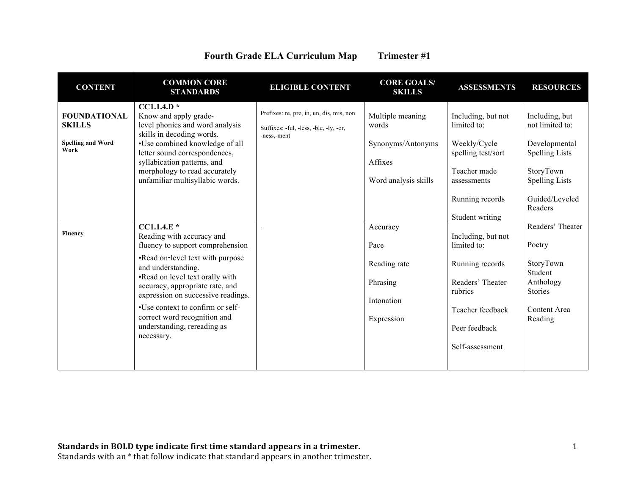| <b>Fourth Grade ELA Curriculum Map</b> | Trimester #1 |
|----------------------------------------|--------------|
|----------------------------------------|--------------|

| <b>CONTENT</b>                                                           | <b>COMMON CORE</b><br><b>STANDARDS</b>                                                                                                                                                                                                                                                                                                                               | <b>ELIGIBLE CONTENT</b>                                                                           | <b>CORE GOALS/</b><br><b>SKILLS</b>                                               | <b>ASSESSMENTS</b>                                                                                                                           | <b>RESOURCES</b>                                                                                                                               |
|--------------------------------------------------------------------------|----------------------------------------------------------------------------------------------------------------------------------------------------------------------------------------------------------------------------------------------------------------------------------------------------------------------------------------------------------------------|---------------------------------------------------------------------------------------------------|-----------------------------------------------------------------------------------|----------------------------------------------------------------------------------------------------------------------------------------------|------------------------------------------------------------------------------------------------------------------------------------------------|
| <b>FOUNDATIONAL</b><br><b>SKILLS</b><br><b>Spelling and Word</b><br>Work | $CC1.1.4.D*$<br>Know and apply grade-<br>level phonics and word analysis<br>skills in decoding words.<br>•Use combined knowledge of all<br>letter sound correspondences,<br>syllabication patterns, and<br>morphology to read accurately<br>unfamiliar multisyllabic words.                                                                                          | Prefixes: re, pre, in, un, dis, mis, non<br>Suffixes: -ful, -less, -ble, -ly, -or,<br>-ness,-ment | Multiple meaning<br>words<br>Synonyms/Antonyms<br>Affixes<br>Word analysis skills | Including, but not<br>limited to:<br>Weekly/Cycle<br>spelling test/sort<br>Teacher made<br>assessments<br>Running records<br>Student writing | Including, but<br>not limited to:<br>Developmental<br><b>Spelling Lists</b><br>StoryTown<br><b>Spelling Lists</b><br>Guided/Leveled<br>Readers |
| Fluency                                                                  | $CCI.1.4.E*$<br>Reading with accuracy and<br>fluency to support comprehension<br>•Read on-level text with purpose<br>and understanding.<br>.Read on level text orally with<br>accuracy, appropriate rate, and<br>expression on successive readings.<br>•Use context to confirm or self-<br>correct word recognition and<br>understanding, rereading as<br>necessary. |                                                                                                   | Accuracy<br>Pace<br>Reading rate<br>Phrasing<br>Intonation<br>Expression          | Including, but not<br>limited to:<br>Running records<br>Readers' Theater<br>rubrics<br>Teacher feedback<br>Peer feedback<br>Self-assessment  | Readers' Theater<br>Poetry<br>StoryTown<br>Student<br>Anthology<br><b>Stories</b><br>Content Area<br>Reading                                   |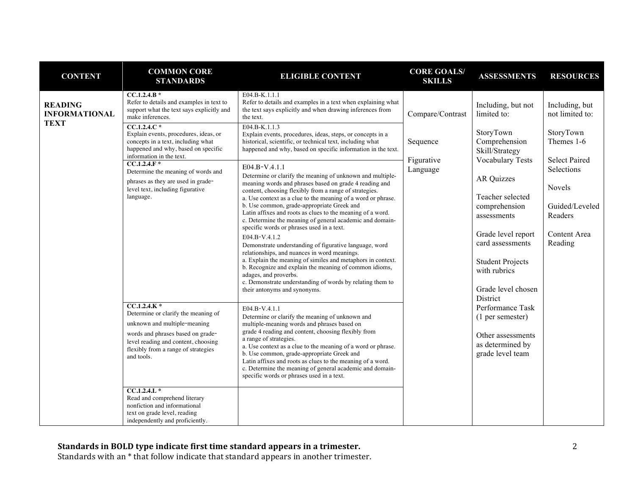| <b>CONTENT</b>                                        | <b>COMMON CORE</b><br><b>STANDARDS</b>                                                                                                                                                                                                                                                                                                                                                                                                                                                                                                                                                                                                                 | <b>ELIGIBLE CONTENT</b>                                                                                                                                                                                                                                                                                                                                                                                                                                                                                                                                                                                                                                                                                                                                                                                                                                                                                                                                                                                                                                                                                                                                                                                                                                                                                                                                                                                                                                                                                  | <b>CORE GOALS/</b><br><b>SKILLS</b>                    | <b>ASSESSMENTS</b>                                                                                                                                                                                                                                                                                                                                                                            | <b>RESOURCES</b>                                                                                                                                                     |
|-------------------------------------------------------|--------------------------------------------------------------------------------------------------------------------------------------------------------------------------------------------------------------------------------------------------------------------------------------------------------------------------------------------------------------------------------------------------------------------------------------------------------------------------------------------------------------------------------------------------------------------------------------------------------------------------------------------------------|----------------------------------------------------------------------------------------------------------------------------------------------------------------------------------------------------------------------------------------------------------------------------------------------------------------------------------------------------------------------------------------------------------------------------------------------------------------------------------------------------------------------------------------------------------------------------------------------------------------------------------------------------------------------------------------------------------------------------------------------------------------------------------------------------------------------------------------------------------------------------------------------------------------------------------------------------------------------------------------------------------------------------------------------------------------------------------------------------------------------------------------------------------------------------------------------------------------------------------------------------------------------------------------------------------------------------------------------------------------------------------------------------------------------------------------------------------------------------------------------------------|--------------------------------------------------------|-----------------------------------------------------------------------------------------------------------------------------------------------------------------------------------------------------------------------------------------------------------------------------------------------------------------------------------------------------------------------------------------------|----------------------------------------------------------------------------------------------------------------------------------------------------------------------|
| <b>READING</b><br><b>INFORMATIONAL</b><br><b>TEXT</b> | $CC.1.2.4.B*$<br>Refer to details and examples in text to<br>support what the text says explicitly and<br>make inferences.<br>$CC.1.2.4.C*$<br>Explain events, procedures, ideas, or<br>concepts in a text, including what<br>happened and why, based on specific<br>information in the text.<br>$CC.1.2.4.F*$<br>Determine the meaning of words and<br>phrases as they are used in grade-<br>level text, including figurative<br>language.<br>$CC.1.2.4.K*$<br>Determine or clarify the meaning of<br>unknown and multiple-meaning<br>words and phrases based on grade-<br>level reading and content, choosing<br>flexibly from a range of strategies | E04.B-K.1.1.1<br>Refer to details and examples in a text when explaining what<br>the text says explicitly and when drawing inferences from<br>the text.<br>E04.B-K.1.1.3<br>Explain events, procedures, ideas, steps, or concepts in a<br>historical, scientific, or technical text, including what<br>happened and why, based on specific information in the text.<br>E04.B-V.4.1.1<br>Determine or clarify the meaning of unknown and multiple-<br>meaning words and phrases based on grade 4 reading and<br>content, choosing flexibly from a range of strategies.<br>a. Use context as a clue to the meaning of a word or phrase.<br>b. Use common, grade-appropriate Greek and<br>Latin affixes and roots as clues to the meaning of a word.<br>c. Determine the meaning of general academic and domain-<br>specific words or phrases used in a text.<br>E04.B-V.4.1.2<br>Demonstrate understanding of figurative language, word<br>relationships, and nuances in word meanings.<br>a. Explain the meaning of similes and metaphors in context.<br>b. Recognize and explain the meaning of common idioms,<br>adages, and proverbs.<br>c. Demonstrate understanding of words by relating them to<br>their antonyms and synonyms.<br>E04.B-V.4.1.1<br>Determine or clarify the meaning of unknown and<br>multiple-meaning words and phrases based on<br>grade 4 reading and content, choosing flexibly from<br>a range of strategies.<br>a. Use context as a clue to the meaning of a word or phrase. | Compare/Contrast<br>Sequence<br>Figurative<br>Language | Including, but not<br>limited to:<br>StoryTown<br>Comprehension<br>Skill/Strategy<br><b>Vocabulary Tests</b><br><b>AR Quizzes</b><br>Teacher selected<br>comprehension<br>assessments<br>Grade level report<br>card assessments<br><b>Student Projects</b><br>with rubrics<br>Grade level chosen<br>District<br>Performance Task<br>(1 per semester)<br>Other assessments<br>as determined by | Including, but<br>not limited to:<br>StoryTown<br>Themes 1-6<br><b>Select Paired</b><br>Selections<br>Novels<br>Guided/Leveled<br>Readers<br>Content Area<br>Reading |
|                                                       | and tools.<br>$CC.1.2.4.L*$<br>Read and comprehend literary<br>nonfiction and informational<br>text on grade level, reading<br>independently and proficiently.                                                                                                                                                                                                                                                                                                                                                                                                                                                                                         | b. Use common, grade-appropriate Greek and<br>Latin affixes and roots as clues to the meaning of a word.<br>c. Determine the meaning of general academic and domain-<br>specific words or phrases used in a text.                                                                                                                                                                                                                                                                                                                                                                                                                                                                                                                                                                                                                                                                                                                                                                                                                                                                                                                                                                                                                                                                                                                                                                                                                                                                                        |                                                        | grade level team                                                                                                                                                                                                                                                                                                                                                                              |                                                                                                                                                                      |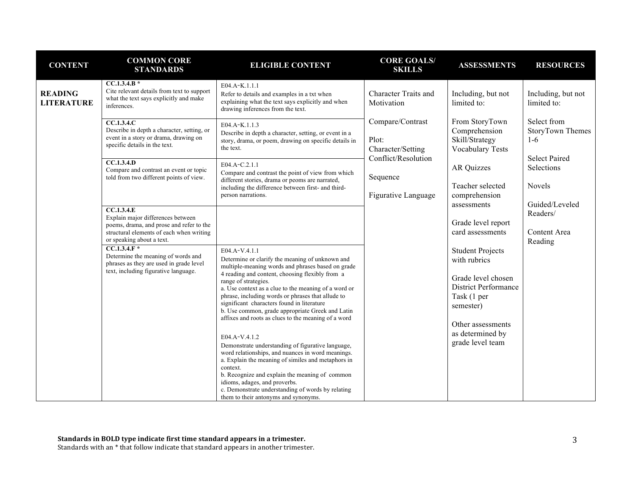| <b>CONTENT</b>                                                                                  | <b>COMMON CORE</b><br><b>STANDARDS</b>                                                                                                                                                            | <b>ELIGIBLE CONTENT</b>                                                                                                                                                                                                                                                                                                                                                                                                                                                                                                                                                                                                                                                                                                                                                                                                                             | <b>CORE GOALS/</b><br><b>SKILLS</b>                    | <b>ASSESSMENTS</b>                                                                                                                                                                    | <b>RESOURCES</b>                         |
|-------------------------------------------------------------------------------------------------|---------------------------------------------------------------------------------------------------------------------------------------------------------------------------------------------------|-----------------------------------------------------------------------------------------------------------------------------------------------------------------------------------------------------------------------------------------------------------------------------------------------------------------------------------------------------------------------------------------------------------------------------------------------------------------------------------------------------------------------------------------------------------------------------------------------------------------------------------------------------------------------------------------------------------------------------------------------------------------------------------------------------------------------------------------------------|--------------------------------------------------------|---------------------------------------------------------------------------------------------------------------------------------------------------------------------------------------|------------------------------------------|
| <b>READING</b><br><b>LITERATURE</b>                                                             | $CC.1.3.4.B*$<br>Cite relevant details from text to support<br>what the text says explicitly and make<br>inferences.                                                                              | E04.A-K.1.1.1<br>Refer to details and examples in a txt when<br>explaining what the text says explicitly and when<br>drawing inferences from the text.                                                                                                                                                                                                                                                                                                                                                                                                                                                                                                                                                                                                                                                                                              | <b>Character Traits and</b><br>Motivation              | Including, but not<br>limited to:                                                                                                                                                     | Including, but not<br>limited to:        |
|                                                                                                 | CC.1.3.4.C<br>Describe in depth a character, setting, or<br>event in a story or drama, drawing on<br>specific details in the text.                                                                | E04.A-K.1.1.3<br>Describe in depth a character, setting, or event in a<br>story, drama, or poem, drawing on specific details in<br>the text.                                                                                                                                                                                                                                                                                                                                                                                                                                                                                                                                                                                                                                                                                                        | Compare/Contrast<br>Plot:<br>Character/Setting         | From StoryTown<br>Comprehension<br>Skill/Strategy<br><b>Vocabulary Tests</b>                                                                                                          | Select from<br>StoryTown Themes<br>$1-6$ |
| CC.1.3.4.D<br>Compare and contrast an event or topic<br>told from two different points of view. | E04.A-C.2.1.1<br>Compare and contrast the point of view from which<br>different stories, drama or peoms are narrated,<br>including the difference between first- and third-<br>person narrations. | Conflict/Resolution<br>Sequence<br>Figurative Language                                                                                                                                                                                                                                                                                                                                                                                                                                                                                                                                                                                                                                                                                                                                                                                              | <b>AR Quizzes</b><br>Teacher selected<br>comprehension | <b>Select Paired</b><br>Selections<br>Novels<br>Guided/Leveled                                                                                                                        |                                          |
|                                                                                                 | <b>CC.1.3.4.E</b><br>Explain major differences between<br>poems, drama, and prose and refer to the<br>structural elements of each when writing<br>or speaking about a text.                       |                                                                                                                                                                                                                                                                                                                                                                                                                                                                                                                                                                                                                                                                                                                                                                                                                                                     |                                                        | assessments<br>Grade level report<br>card assessments                                                                                                                                 | Readers/<br>Content Area<br>Reading      |
|                                                                                                 | $CC.1.3.4.F*$<br>Determine the meaning of words and<br>phrases as they are used in grade level<br>text, including figurative language.                                                            | E04.A-V.4.1.1<br>Determine or clarify the meaning of unknown and<br>multiple-meaning words and phrases based on grade<br>4 reading and content, choosing flexibly from a<br>range of strategies.<br>a. Use context as a clue to the meaning of a word or<br>phrase, including words or phrases that allude to<br>significant characters found in literature<br>b. Use common, grade appropriate Greek and Latin<br>affixes and roots as clues to the meaning of a word<br>E04.A-V.4.1.2<br>Demonstrate understanding of figurative language,<br>word relationships, and nuances in word meanings.<br>a. Explain the meaning of similes and metaphors in<br>context.<br>b. Recognize and explain the meaning of common<br>idioms, adages, and proverbs.<br>c. Demonstrate understanding of words by relating<br>them to their antonyms and synonyms. |                                                        | <b>Student Projects</b><br>with rubrics<br>Grade level chosen<br><b>District Performance</b><br>Task (1 per<br>semester)<br>Other assessments<br>as determined by<br>grade level team |                                          |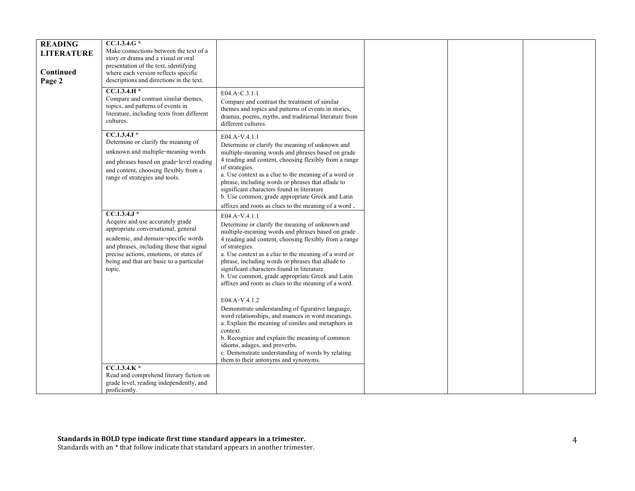| <b>READING</b><br><b>LITERATURE</b><br>Continued<br>Page 2 | CC.1.3.4.G *<br>Make connections between the text of a<br>story or drama and a visual or oral<br>presentation of the text, identifying<br>where each version reflects specific<br>descriptions and directions in the text.<br>$CC.1.3.4.H*$                                  |                                                                                                                                                                                                                                                                                                                                                                                                                                                                                                                                                                                                                                                                                                                                                                                                                                                      |
|------------------------------------------------------------|------------------------------------------------------------------------------------------------------------------------------------------------------------------------------------------------------------------------------------------------------------------------------|------------------------------------------------------------------------------------------------------------------------------------------------------------------------------------------------------------------------------------------------------------------------------------------------------------------------------------------------------------------------------------------------------------------------------------------------------------------------------------------------------------------------------------------------------------------------------------------------------------------------------------------------------------------------------------------------------------------------------------------------------------------------------------------------------------------------------------------------------|
|                                                            | Compare and contrast similar themes,<br>topics, and patterns of events in<br>literature, including texts from different<br>cultures.                                                                                                                                         | E04.A-C.3.1.1<br>Compare and contrast the treatment of similar<br>themes and topics and patterns of events in stories,<br>dramas, poems, myths, and traditional literature from<br>different cultures.                                                                                                                                                                                                                                                                                                                                                                                                                                                                                                                                                                                                                                               |
|                                                            | $CC.1.3.4.1*$<br>Determine or clarify the meaning of<br>unknown and multiple-meaning words<br>and phrases based on grade-level reading<br>and content, choosing flexibly from a<br>range of strategies and tools.                                                            | E04.A-V.4.1.1<br>Determine or clarify the meaning of unknown and<br>multiple-meaning words and phrases based on grade<br>4 reading and content, choosing flexibly from a range<br>of strategies.<br>a. Use context as a clue to the meaning of a word or<br>phrase, including words or phrases that allude to<br>significant characters found in literature<br>b. Use common, grade appropriate Greek and Latin<br>affixes and roots as clues to the meaning of a word.                                                                                                                                                                                                                                                                                                                                                                              |
|                                                            | $CC.1.3.4.J*$<br>Acquire and use accurately grade<br>appropriate conversational, general<br>academic, and domain-specific words<br>and phrases, including those that signal<br>precise actions, emotions, or states of<br>being and that are basic to a particular<br>topic. | E04.A-V.4.1.1<br>Determine or clarify the meaning of unknown and<br>multiple-meaning words and phrases based on grade<br>4 reading and content, choosing flexibly from a range<br>of strategies.<br>a. Use context as a clue to the meaning of a word or<br>phrase, including words or phrases that allude to<br>significant characters found in literature<br>b. Use common, grade appropriate Greek and Latin<br>affixes and roots as clues to the meaning of a word.<br>E04.A-V.4.1.2<br>Demonstrate understanding of figurative language,<br>word relationships, and nuances in word meanings.<br>a. Explain the meaning of similes and metaphors in<br>context.<br>b. Recognize and explain the meaning of common<br>idioms, adages, and proverbs.<br>c. Demonstrate understanding of words by relating<br>them to their antonyms and synonyms. |
|                                                            | $CC.1.3.4.K*$<br>Read and comprehend literary fiction on<br>grade level, reading independently, and<br>proficiently.                                                                                                                                                         |                                                                                                                                                                                                                                                                                                                                                                                                                                                                                                                                                                                                                                                                                                                                                                                                                                                      |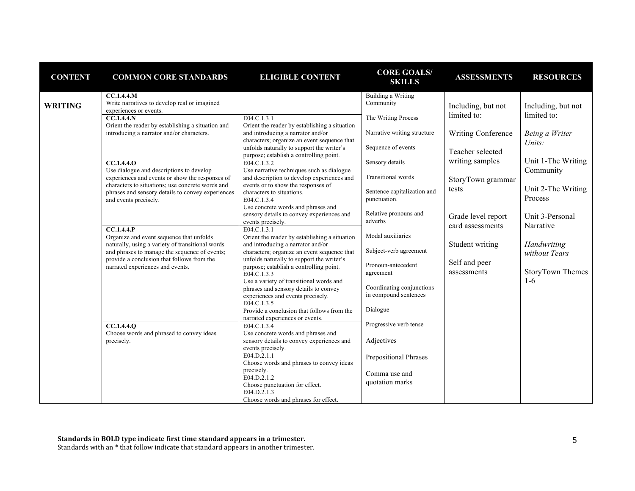| <b>CONTENT</b> | <b>COMMON CORE STANDARDS</b>                                                                 | <b>ELIGIBLE CONTENT</b>                                                              | <b>CORE GOALS/</b><br><b>SKILLS</b> | <b>ASSESSMENTS</b> | <b>RESOURCES</b>   |
|----------------|----------------------------------------------------------------------------------------------|--------------------------------------------------------------------------------------|-------------------------------------|--------------------|--------------------|
|                | CC.1.4.4.M                                                                                   |                                                                                      | Building a Writing                  |                    |                    |
| <b>WRITING</b> | Write narratives to develop real or imagined<br>experiences or events.                       |                                                                                      | Community                           | Including, but not | Including, but not |
|                | $CC.1.4.4.$ N                                                                                | E04.C.1.3.1                                                                          | The Writing Process                 | limited to:        | limited to:        |
|                | Orient the reader by establishing a situation and                                            | Orient the reader by establishing a situation                                        |                                     |                    |                    |
|                | introducing a narrator and/or characters.                                                    | and introducing a narrator and/or                                                    | Narrative writing structure         | Writing Conference | Being a Writer     |
|                |                                                                                              | characters; organize an event sequence that                                          | Sequence of events                  |                    | Units:             |
|                |                                                                                              | unfolds naturally to support the writer's<br>purpose; establish a controlling point. |                                     | Teacher selected   |                    |
|                | <b>CC.1.4.4.0</b>                                                                            | E04.C.1.3.2                                                                          | Sensory details                     | writing samples    | Unit 1-The Writing |
|                | Use dialogue and descriptions to develop                                                     | Use narrative techniques such as dialogue                                            |                                     |                    | Community          |
|                | experiences and events or show the responses of                                              | and description to develop experiences and                                           | <b>Transitional</b> words           | StoryTown grammar  |                    |
|                | characters to situations; use concrete words and                                             | events or to show the responses of                                                   | Sentence capitalization and         | tests              | Unit 2-The Writing |
|                | phrases and sensory details to convey experiences<br>and events precisely.                   | characters to situations.<br>E04.C.1.3.4                                             | punctuation.                        |                    | Process            |
|                |                                                                                              | Use concrete words and phrases and                                                   |                                     |                    |                    |
|                |                                                                                              | sensory details to convey experiences and                                            | Relative pronouns and               | Grade level report | Unit 3-Personal    |
|                |                                                                                              | events precisely.                                                                    | adverbs                             | card assessments   | Narrative          |
|                | CC.1.4.4.P                                                                                   | E04.C.1.3.1                                                                          | Modal auxiliaries                   |                    |                    |
|                | Organize and event sequence that unfolds<br>naturally, using a variety of transitional words | Orient the reader by establishing a situation<br>and introducing a narrator and/or   |                                     | Student writing    | Handwriting        |
|                | and phrases to manage the sequence of events;                                                | characters; organize an event sequence that                                          | Subject-verb agreement              |                    | without Tears      |
|                | provide a conclusion that follows from the                                                   | unfolds naturally to support the writer's                                            |                                     |                    |                    |
|                | narrated experiences and events.                                                             | purpose; establish a controlling point.                                              | Pronoun-antecedent                  | Self and peer      |                    |
|                |                                                                                              | E04.C.1.3.3                                                                          | agreement                           | assessments        | StoryTown Themes   |
|                |                                                                                              | Use a variety of transitional words and                                              | Coordinating conjunctions           |                    | $1 - 6$            |
|                |                                                                                              | phrases and sensory details to convey<br>experiences and events precisely.           | in compound sentences               |                    |                    |
|                |                                                                                              | E04.C.1.3.5                                                                          |                                     |                    |                    |
|                |                                                                                              | Provide a conclusion that follows from the                                           | Dialogue                            |                    |                    |
|                |                                                                                              | narrated experiences or events.                                                      |                                     |                    |                    |
|                | CC.1.4.4.0<br>Choose words and phrased to convey ideas                                       | E04.C.1.3.4<br>Use concrete words and phrases and                                    | Progressive verb tense              |                    |                    |
|                | precisely.                                                                                   | sensory details to convey experiences and                                            | Adjectives                          |                    |                    |
|                |                                                                                              | events precisely.                                                                    |                                     |                    |                    |
|                |                                                                                              | E04.D.2.1.1                                                                          | Prepositional Phrases               |                    |                    |
|                |                                                                                              | Choose words and phrases to convey ideas                                             |                                     |                    |                    |
|                |                                                                                              | precisely.<br>E04.D.2.1.2                                                            | Comma use and                       |                    |                    |
|                |                                                                                              | Choose punctuation for effect.                                                       | quotation marks                     |                    |                    |
|                |                                                                                              | E04.D.2.1.3                                                                          |                                     |                    |                    |
|                |                                                                                              | Choose words and phrases for effect.                                                 |                                     |                    |                    |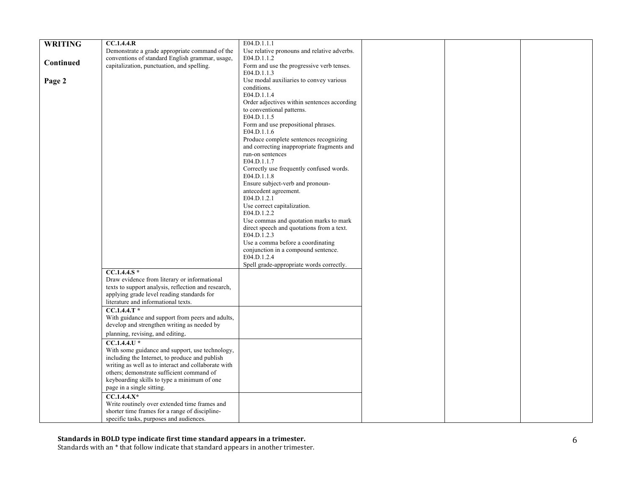| <b>WRITING</b> | CC.1.4.4.R                                                     | E04.D.1.1.1                                                    |  |  |
|----------------|----------------------------------------------------------------|----------------------------------------------------------------|--|--|
|                | Demonstrate a grade appropriate command of the                 | Use relative pronouns and relative adverbs.                    |  |  |
| Continued      | conventions of standard English grammar, usage,                | E04.D.1.1.2                                                    |  |  |
|                | capitalization, punctuation, and spelling.                     | Form and use the progressive verb tenses.                      |  |  |
|                |                                                                | E04.D.1.1.3                                                    |  |  |
| Page 2         |                                                                | Use modal auxiliaries to convey various                        |  |  |
|                |                                                                | conditions.                                                    |  |  |
|                |                                                                | E04.D.1.1.4                                                    |  |  |
|                |                                                                | Order adjectives within sentences according                    |  |  |
|                |                                                                | to conventional patterns.                                      |  |  |
|                |                                                                | E04.D.1.1.5                                                    |  |  |
|                |                                                                | Form and use prepositional phrases.                            |  |  |
|                |                                                                | E04.D.1.1.6                                                    |  |  |
|                |                                                                | Produce complete sentences recognizing                         |  |  |
|                |                                                                | and correcting inappropriate fragments and<br>run-on sentences |  |  |
|                |                                                                | E04.D.1.1.7                                                    |  |  |
|                |                                                                | Correctly use frequently confused words.                       |  |  |
|                |                                                                | E04.D.1.1.8                                                    |  |  |
|                |                                                                | Ensure subject-verb and pronoun-                               |  |  |
|                |                                                                | antecedent agreement.                                          |  |  |
|                |                                                                | E04.D.1.2.1                                                    |  |  |
|                |                                                                | Use correct capitalization.                                    |  |  |
|                |                                                                | E04.D.1.2.2                                                    |  |  |
|                |                                                                | Use commas and quotation marks to mark                         |  |  |
|                |                                                                | direct speech and quotations from a text.                      |  |  |
|                |                                                                | E04.D.1.2.3                                                    |  |  |
|                |                                                                | Use a comma before a coordinating                              |  |  |
|                |                                                                | conjunction in a compound sentence.                            |  |  |
|                |                                                                | E04.D.1.2.4                                                    |  |  |
|                |                                                                | Spell grade-appropriate words correctly.                       |  |  |
|                | $CC.1.4.4.S*$                                                  |                                                                |  |  |
|                | Draw evidence from literary or informational                   |                                                                |  |  |
|                | texts to support analysis, reflection and research,            |                                                                |  |  |
|                | applying grade level reading standards for                     |                                                                |  |  |
|                | literature and informational texts.                            |                                                                |  |  |
|                | $CC.1.4.4.T*$                                                  |                                                                |  |  |
|                | With guidance and support from peers and adults,               |                                                                |  |  |
|                | develop and strengthen writing as needed by                    |                                                                |  |  |
|                | planning, revising, and editing.                               |                                                                |  |  |
|                | $CC.1.4.4.1$ <sup>*</sup>                                      |                                                                |  |  |
|                | With some guidance and support, use technology,                |                                                                |  |  |
|                | including the Internet, to produce and publish                 |                                                                |  |  |
|                | writing as well as to interact and collaborate with            |                                                                |  |  |
|                | others; demonstrate sufficient command of                      |                                                                |  |  |
|                | keyboarding skills to type a minimum of one                    |                                                                |  |  |
|                | page in a single sitting.                                      |                                                                |  |  |
|                |                                                                |                                                                |  |  |
|                | $CC.1.4.4.X*$<br>Write routinely over extended time frames and |                                                                |  |  |
|                | shorter time frames for a range of discipline-                 |                                                                |  |  |
|                |                                                                |                                                                |  |  |
|                | specific tasks, purposes and audiences.                        |                                                                |  |  |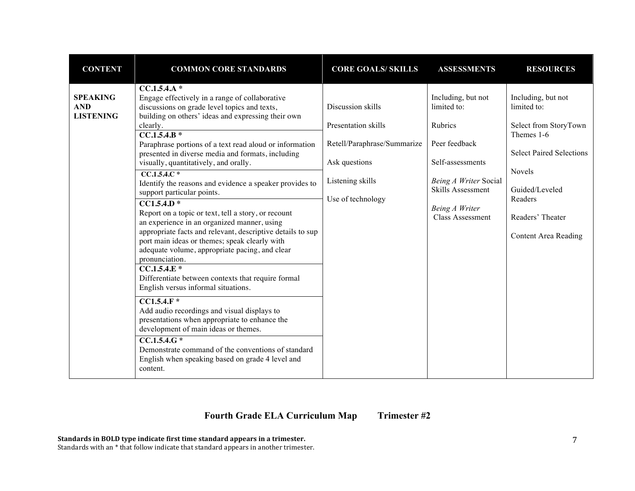| <b>CONTENT</b>                                    | <b>COMMON CORE STANDARDS</b>                                                                                                                                                                                                                                                                                                                                                                                                                                                                                                                                                                                                                                                                                                                                                                                                                                                                                                                                                                                                                                                                                                                                                                                      | <b>CORE GOALS/ SKILLS</b>                                                                                                         | <b>ASSESSMENTS</b>                                                                                                                                                           | <b>RESOURCES</b>                                                                                                                                                                               |
|---------------------------------------------------|-------------------------------------------------------------------------------------------------------------------------------------------------------------------------------------------------------------------------------------------------------------------------------------------------------------------------------------------------------------------------------------------------------------------------------------------------------------------------------------------------------------------------------------------------------------------------------------------------------------------------------------------------------------------------------------------------------------------------------------------------------------------------------------------------------------------------------------------------------------------------------------------------------------------------------------------------------------------------------------------------------------------------------------------------------------------------------------------------------------------------------------------------------------------------------------------------------------------|-----------------------------------------------------------------------------------------------------------------------------------|------------------------------------------------------------------------------------------------------------------------------------------------------------------------------|------------------------------------------------------------------------------------------------------------------------------------------------------------------------------------------------|
| <b>SPEAKING</b><br><b>AND</b><br><b>LISTENING</b> | $CC.1.5.4.A*$<br>Engage effectively in a range of collaborative<br>discussions on grade level topics and texts,<br>building on others' ideas and expressing their own<br>clearly.<br>$CC.1.5.4.B*$<br>Paraphrase portions of a text read aloud or information<br>presented in diverse media and formats, including<br>visually, quantitatively, and orally.<br>$CC.1.5.4.C*$<br>Identify the reasons and evidence a speaker provides to<br>support particular points.<br>$\overline{CC1.5.4.D*}$<br>Report on a topic or text, tell a story, or recount<br>an experience in an organized manner, using<br>appropriate facts and relevant, descriptive details to sup<br>port main ideas or themes; speak clearly with<br>adequate volume, appropriate pacing, and clear<br>pronunciation.<br>$CC.1.5.4.E*$<br>Differentiate between contexts that require formal<br>English versus informal situations.<br>$\overline{CC1.5.4.F*}$<br>Add audio recordings and visual displays to<br>presentations when appropriate to enhance the<br>development of main ideas or themes.<br>$CC.1.5.4.G*$<br>Demonstrate command of the conventions of standard<br>English when speaking based on grade 4 level and<br>content. | Discussion skills<br>Presentation skills<br>Retell/Paraphrase/Summarize<br>Ask questions<br>Listening skills<br>Use of technology | Including, but not<br>limited to:<br>Rubrics<br>Peer feedback<br>Self-assessments<br>Being A Writer Social<br><b>Skills Assessment</b><br>Being A Writer<br>Class Assessment | Including, but not<br>limited to:<br>Select from StoryTown<br>Themes 1-6<br><b>Select Paired Selections</b><br>Novels<br>Guided/Leveled<br>Readers<br>Readers' Theater<br>Content Area Reading |

# **Fourth Grade ELA Curriculum Map Trimester #2**

**Standards in BOLD type indicate first time standard appears in a trimester.**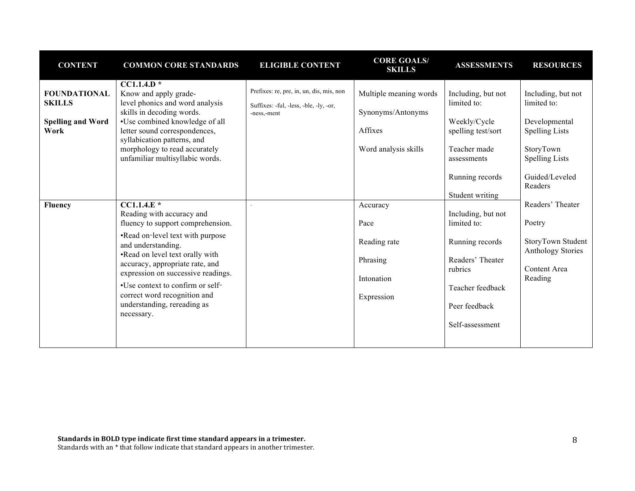| <b>CONTENT</b>                                                                      | <b>COMMON CORE STANDARDS</b>                                                                                                                                                                                                                                                                                                                                                                                                                                                                  | <b>ELIGIBLE CONTENT</b>                                                                           | <b>CORE GOALS/</b><br><b>SKILLS</b>                                                                                            | <b>ASSESSMENTS</b>                                                                                                                                                                                                       | <b>RESOURCES</b>                                                                                                                                                                                                              |
|-------------------------------------------------------------------------------------|-----------------------------------------------------------------------------------------------------------------------------------------------------------------------------------------------------------------------------------------------------------------------------------------------------------------------------------------------------------------------------------------------------------------------------------------------------------------------------------------------|---------------------------------------------------------------------------------------------------|--------------------------------------------------------------------------------------------------------------------------------|--------------------------------------------------------------------------------------------------------------------------------------------------------------------------------------------------------------------------|-------------------------------------------------------------------------------------------------------------------------------------------------------------------------------------------------------------------------------|
| <b>FOUNDATIONAL</b><br><b>SKILLS</b><br><b>Spelling and Word</b><br>Work<br>Fluency | $CC1.1.4.D*$<br>Know and apply grade-<br>level phonics and word analysis<br>skills in decoding words.<br>•Use combined knowledge of all<br>letter sound correspondences,<br>syllabication patterns, and<br>morphology to read accurately<br>unfamiliar multisyllabic words.<br>$CCI.1.4.E*$<br>Reading with accuracy and<br>fluency to support comprehension.<br>•Read on-level text with purpose<br>and understanding.<br>•Read on level text orally with<br>accuracy, appropriate rate, and | Prefixes: re, pre, in, un, dis, mis, non<br>Suffixes: -ful, -less, -ble, -ly, -or,<br>-ness,-ment | Multiple meaning words<br>Synonyms/Antonyms<br>Affixes<br>Word analysis skills<br>Accuracy<br>Pace<br>Reading rate<br>Phrasing | Including, but not<br>limited to:<br>Weekly/Cycle<br>spelling test/sort<br>Teacher made<br>assessments<br>Running records<br>Student writing<br>Including, but not<br>limited to:<br>Running records<br>Readers' Theater | Including, but not<br>limited to:<br>Developmental<br><b>Spelling Lists</b><br>StoryTown<br><b>Spelling Lists</b><br>Guided/Leveled<br>Readers<br>Readers' Theater<br>Poetry<br>StoryTown Student<br><b>Anthology Stories</b> |
|                                                                                     | expression on successive readings.<br>•Use context to confirm or self-<br>correct word recognition and<br>understanding, rereading as<br>necessary.                                                                                                                                                                                                                                                                                                                                           |                                                                                                   | Intonation<br>Expression                                                                                                       | rubrics<br>Teacher feedback<br>Peer feedback<br>Self-assessment                                                                                                                                                          | Content Area<br>Reading                                                                                                                                                                                                       |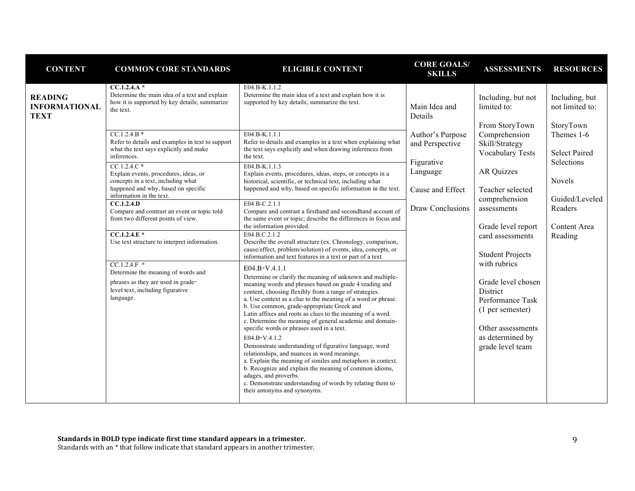| <b>CONTENT</b>                                        | <b>COMMON CORE STANDARDS</b>                                                                                                                                    | <b>ELIGIBLE CONTENT</b>                                                                                                                                                                                                                                                                                                                                                                                                                                                                                                                                                                                                                                                                                                                                                                                                                                       | <b>CORE GOALS/</b><br><b>SKILLS</b>          | <b>ASSESSMENTS</b>                                                                                                                                         | <b>RESOURCES</b>                                             |  |        |
|-------------------------------------------------------|-----------------------------------------------------------------------------------------------------------------------------------------------------------------|---------------------------------------------------------------------------------------------------------------------------------------------------------------------------------------------------------------------------------------------------------------------------------------------------------------------------------------------------------------------------------------------------------------------------------------------------------------------------------------------------------------------------------------------------------------------------------------------------------------------------------------------------------------------------------------------------------------------------------------------------------------------------------------------------------------------------------------------------------------|----------------------------------------------|------------------------------------------------------------------------------------------------------------------------------------------------------------|--------------------------------------------------------------|--|--------|
| <b>READING</b><br><b>INFORMATIONAL</b><br><b>TEXT</b> | $CC.1.2.4.A*$<br>Determine the main idea of a text and explain<br>how it is supported by key details; summarize<br>the text.<br>$CC.1.2.4.B*$                   | E04.B-K.1.1.2<br>Determine the main idea of a text and explain how it is<br>supported by key details; summarize the text.<br>E04.B-K.1.1.1                                                                                                                                                                                                                                                                                                                                                                                                                                                                                                                                                                                                                                                                                                                    | Main Idea and<br>Details<br>Author's Purpose | Including, but not<br>limited to:<br>From StoryTown<br>Comprehension                                                                                       | Including, but<br>not limited to:<br>StoryTown<br>Themes 1-6 |  |        |
|                                                       | Refer to details and examples in text to support<br>what the text says explicitly and make<br>inferences.                                                       | Refer to details and examples in a text when explaining what<br>the text says explicitly and when drawing inferences from<br>the text.                                                                                                                                                                                                                                                                                                                                                                                                                                                                                                                                                                                                                                                                                                                        | and Perspective<br>Figurative                | Skill/Strategy<br><b>Vocabulary Tests</b>                                                                                                                  | <b>Select Paired</b><br>Selections                           |  |        |
|                                                       | $CC.1.2.4.C*$<br>Explain events, procedures, ideas, or<br>concepts in a text, including what<br>happened and why, based on specific<br>information in the text. | E04.B-K.1.1.3<br>Explain events, procedures, ideas, steps, or concepts in a<br>historical, scientific, or technical text, including what<br>happened and why, based on specific information in the text.                                                                                                                                                                                                                                                                                                                                                                                                                                                                                                                                                                                                                                                      | Language<br>Cause and Effect                 |                                                                                                                                                            | <b>AR Quizzes</b><br>Teacher selected                        |  | Novels |
|                                                       | CC.1.2.4.D<br>Compare and contrast an event or topic told<br>from two different points of view.                                                                 | E04.B-C.2.1.1<br>Compare and contrast a firsthand and secondhand account of<br>the same event or topic; describe the differences in focus and<br>the information provided.                                                                                                                                                                                                                                                                                                                                                                                                                                                                                                                                                                                                                                                                                    | <b>Draw Conclusions</b>                      | comprehension<br>assessments<br>Grade level report                                                                                                         | Guided/Leveled<br>Readers<br>Content Area                    |  |        |
|                                                       | $CC.1.2.4.E*$<br>Use text structure to interpret information.                                                                                                   | E04.B.C.2.1.2<br>Describe the overall structure (ex. Chronology, comparison,<br>cause/effect, problem/solution) of events, idea, concepts, or<br>information and text features in a text or part of a text.                                                                                                                                                                                                                                                                                                                                                                                                                                                                                                                                                                                                                                                   |                                              | card assessments<br><b>Student Projects</b>                                                                                                                | Reading                                                      |  |        |
|                                                       | $CC.1.2.4.F$ *<br>Determine the meaning of words and<br>phrases as they are used in grade-<br>level text, including figurative<br>language.                     | E04.B-V.4.1.1<br>Determine or clarify the meaning of unknown and multiple-<br>meaning words and phrases based on grade 4 reading and<br>content, choosing flexibly from a range of strategies.<br>a. Use context as a clue to the meaning of a word or phrase.<br>b. Use common, grade-appropriate Greek and<br>Latin affixes and roots as clues to the meaning of a word.<br>c. Determine the meaning of general academic and domain-<br>specific words or phrases used in a text.<br>E04.B-V.4.1.2<br>Demonstrate understanding of figurative language, word<br>relationships, and nuances in word meanings.<br>a. Explain the meaning of similes and metaphors in context.<br>b. Recognize and explain the meaning of common idioms,<br>adages, and proverbs.<br>c. Demonstrate understanding of words by relating them to<br>their antonyms and synonyms. |                                              | with rubrics<br>Grade level chosen<br><b>District</b><br>Performance Task<br>(1 per semester)<br>Other assessments<br>as determined by<br>grade level team |                                                              |  |        |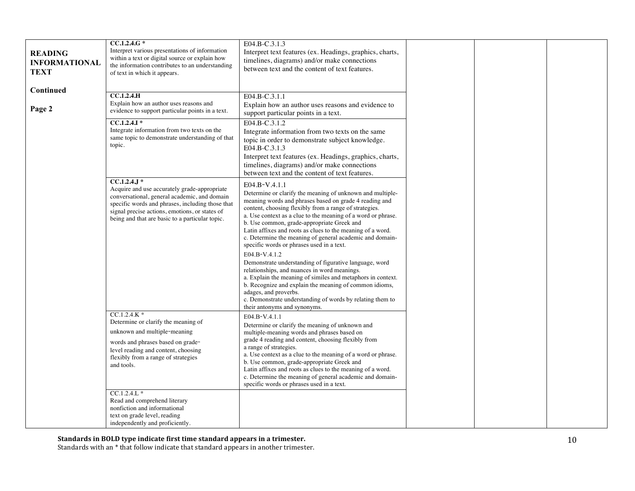| <b>READING</b><br><b>INFORMATIONAL</b><br><b>TEXT</b> | $CC.1.2.4.G*$<br>Interpret various presentations of information<br>within a text or digital source or explain how<br>the information contributes to an understanding<br>of text in which it appears.                                                                     | E04.B-C.3.1.3<br>Interpret text features (ex. Headings, graphics, charts,<br>timelines, diagrams) and/or make connections<br>between text and the content of text features.                                                                                                                                                                                                                                                                                                                                                                                                                                                                                                                                                                                                                                                                                   |  |
|-------------------------------------------------------|--------------------------------------------------------------------------------------------------------------------------------------------------------------------------------------------------------------------------------------------------------------------------|---------------------------------------------------------------------------------------------------------------------------------------------------------------------------------------------------------------------------------------------------------------------------------------------------------------------------------------------------------------------------------------------------------------------------------------------------------------------------------------------------------------------------------------------------------------------------------------------------------------------------------------------------------------------------------------------------------------------------------------------------------------------------------------------------------------------------------------------------------------|--|
| Continued<br>Page 2                                   | <b>CC.1.2.4.H</b><br>Explain how an author uses reasons and<br>evidence to support particular points in a text.<br>$CC.1.2.4.1*$<br>Integrate information from two texts on the<br>same topic to demonstrate understanding of that<br>topic.                             | E04.B-C.3.1.1<br>Explain how an author uses reasons and evidence to<br>support particular points in a text.<br>E04.B-C.3.1.2<br>Integrate information from two texts on the same<br>topic in order to demonstrate subject knowledge.<br>E04.B-C.3.1.3<br>Interpret text features (ex. Headings, graphics, charts,<br>timelines, diagrams) and/or make connections<br>between text and the content of text features.                                                                                                                                                                                                                                                                                                                                                                                                                                           |  |
|                                                       | $CC.1.2.4.$ J *<br>Acquire and use accurately grade-appropriate<br>conversational, general academic, and domain<br>specific words and phrases, including those that<br>signal precise actions, emotions, or states of<br>being and that are basic to a particular topic. | E04.B-V.4.1.1<br>Determine or clarify the meaning of unknown and multiple-<br>meaning words and phrases based on grade 4 reading and<br>content, choosing flexibly from a range of strategies.<br>a. Use context as a clue to the meaning of a word or phrase.<br>b. Use common, grade-appropriate Greek and<br>Latin affixes and roots as clues to the meaning of a word.<br>c. Determine the meaning of general academic and domain-<br>specific words or phrases used in a text.<br>E04.B-V.4.1.2<br>Demonstrate understanding of figurative language, word<br>relationships, and nuances in word meanings.<br>a. Explain the meaning of similes and metaphors in context.<br>b. Recognize and explain the meaning of common idioms,<br>adages, and proverbs.<br>c. Demonstrate understanding of words by relating them to<br>their antonyms and synonyms. |  |
|                                                       | $CC.1.2.4.K*$<br>Determine or clarify the meaning of<br>unknown and multiple-meaning<br>words and phrases based on grade-<br>level reading and content, choosing<br>flexibly from a range of strategies<br>and tools.                                                    | E04.B-V.4.1.1<br>Determine or clarify the meaning of unknown and<br>multiple-meaning words and phrases based on<br>grade 4 reading and content, choosing flexibly from<br>a range of strategies.<br>a. Use context as a clue to the meaning of a word or phrase.<br>b. Use common, grade-appropriate Greek and<br>Latin affixes and roots as clues to the meaning of a word.<br>c. Determine the meaning of general academic and domain-<br>specific words or phrases used in a text.                                                                                                                                                                                                                                                                                                                                                                         |  |
|                                                       | $CC.1.2.4.L*$<br>Read and comprehend literary<br>nonfiction and informational<br>text on grade level, reading<br>independently and proficiently.                                                                                                                         |                                                                                                                                                                                                                                                                                                                                                                                                                                                                                                                                                                                                                                                                                                                                                                                                                                                               |  |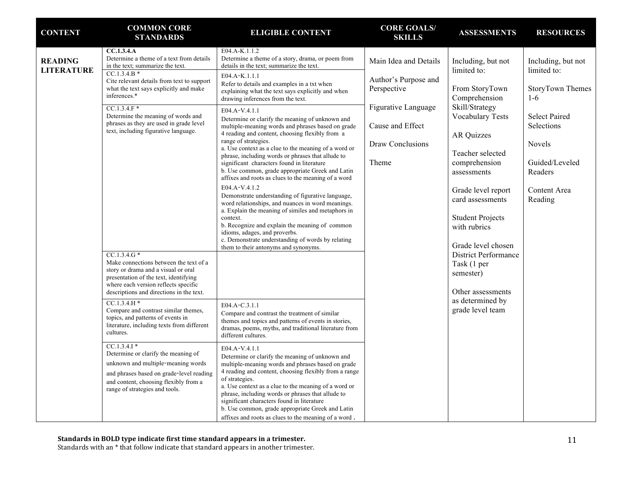| <b>CONTENT</b>                                                                                                                                                                                                                                                                                                                                                                                                                                                                                                                                                                                                                                            | <b>COMMON CORE</b><br><b>STANDARDS</b>                                                                                                                                                                                                                                                                                                                                                                                                                                                                                                                                                                                                                                                                                                                                                                                                              | <b>ELIGIBLE CONTENT</b>                                                                                                                                                                                                                                                                                                                                                                                                                                                                                                                                                                                                                                                           | <b>CORE GOALS/</b><br><b>SKILLS</b>                          | <b>ASSESSMENTS</b>                                                                                   | <b>RESOURCES</b>                                               |
|-----------------------------------------------------------------------------------------------------------------------------------------------------------------------------------------------------------------------------------------------------------------------------------------------------------------------------------------------------------------------------------------------------------------------------------------------------------------------------------------------------------------------------------------------------------------------------------------------------------------------------------------------------------|-----------------------------------------------------------------------------------------------------------------------------------------------------------------------------------------------------------------------------------------------------------------------------------------------------------------------------------------------------------------------------------------------------------------------------------------------------------------------------------------------------------------------------------------------------------------------------------------------------------------------------------------------------------------------------------------------------------------------------------------------------------------------------------------------------------------------------------------------------|-----------------------------------------------------------------------------------------------------------------------------------------------------------------------------------------------------------------------------------------------------------------------------------------------------------------------------------------------------------------------------------------------------------------------------------------------------------------------------------------------------------------------------------------------------------------------------------------------------------------------------------------------------------------------------------|--------------------------------------------------------------|------------------------------------------------------------------------------------------------------|----------------------------------------------------------------|
| <b>READING</b><br><b>LITERATURE</b>                                                                                                                                                                                                                                                                                                                                                                                                                                                                                                                                                                                                                       | CC.1.3.4.A<br>Determine a theme of a text from details<br>in the text; summarize the text.<br>$CC.1.3.4.B*$<br>Cite relevant details from text to support<br>what the text says explicitly and make<br>inferences.*                                                                                                                                                                                                                                                                                                                                                                                                                                                                                                                                                                                                                                 | E04.A-K.1.1.2<br>Determine a theme of a story, drama, or poem from<br>details in the text; summarize the text.<br>E04.A-K.1.1.1<br>Refer to details and examples in a txt when<br>explaining what the text says explicitly and when<br>drawing inferences from the text.                                                                                                                                                                                                                                                                                                                                                                                                          | Main Idea and Details<br>Author's Purpose and<br>Perspective | Including, but not<br>limited to:<br>From StoryTown                                                  | Including, but not<br>limited to:<br>StoryTown Themes<br>$1-6$ |
| $CC.1.3.4.F*$<br>Determine the meaning of words and<br>phrases as they are used in grade level<br>text, including figurative language.<br>$CC.1.3.4.G*$<br>Make connections between the text of a<br>story or drama and a visual or oral<br>presentation of the text, identifying<br>where each version reflects specific<br>descriptions and directions in the text.<br>$CC.1.3.4.H*$<br>Compare and contrast similar themes,<br>topics, and patterns of events in<br>cultures.<br>$CC.1.3.4.1*$<br>Determine or clarify the meaning of<br>unknown and multiple-meaning words<br>and content, choosing flexibly from a<br>range of strategies and tools. | E04.A-V.4.1.1<br>Determine or clarify the meaning of unknown and<br>multiple-meaning words and phrases based on grade<br>4 reading and content, choosing flexibly from a<br>range of strategies.<br>a. Use context as a clue to the meaning of a word or<br>phrase, including words or phrases that allude to<br>significant characters found in literature<br>b. Use common, grade appropriate Greek and Latin<br>affixes and roots as clues to the meaning of a word<br>E04.A-V.4.1.2<br>Demonstrate understanding of figurative language,<br>word relationships, and nuances in word meanings.<br>a. Explain the meaning of similes and metaphors in<br>context.<br>b. Recognize and explain the meaning of common<br>idioms, adages, and proverbs.<br>c. Demonstrate understanding of words by relating<br>them to their antonyms and synonyms. | Comprehension<br>Skill/Strategy<br>Figurative Language<br><b>Vocabulary Tests</b><br>Cause and Effect<br><b>AR Quizzes</b><br>Draw Conclusions<br>Teacher selected<br>Theme<br>comprehension<br>assessments<br>Grade level report<br>card assessments<br><b>Student Projects</b><br>with rubrics<br>Grade level chosen<br>District Performance<br>Task (1 per<br>semester)                                                                                                                                                                                                                                                                                                        |                                                              | <b>Select Paired</b><br>Selections<br>Novels<br>Guided/Leveled<br>Readers<br>Content Area<br>Reading |                                                                |
|                                                                                                                                                                                                                                                                                                                                                                                                                                                                                                                                                                                                                                                           | literature, including texts from different<br>and phrases based on grade-level reading                                                                                                                                                                                                                                                                                                                                                                                                                                                                                                                                                                                                                                                                                                                                                              | E04.A-C.3.1.1<br>Compare and contrast the treatment of similar<br>themes and topics and patterns of events in stories,<br>dramas, poems, myths, and traditional literature from<br>different cultures.<br>E04.A-V.4.1.1<br>Determine or clarify the meaning of unknown and<br>multiple-meaning words and phrases based on grade<br>4 reading and content, choosing flexibly from a range<br>of strategies.<br>a. Use context as a clue to the meaning of a word or<br>phrase, including words or phrases that allude to<br>significant characters found in literature<br>b. Use common, grade appropriate Greek and Latin<br>affixes and roots as clues to the meaning of a word. |                                                              | as determined by<br>grade level team                                                                 |                                                                |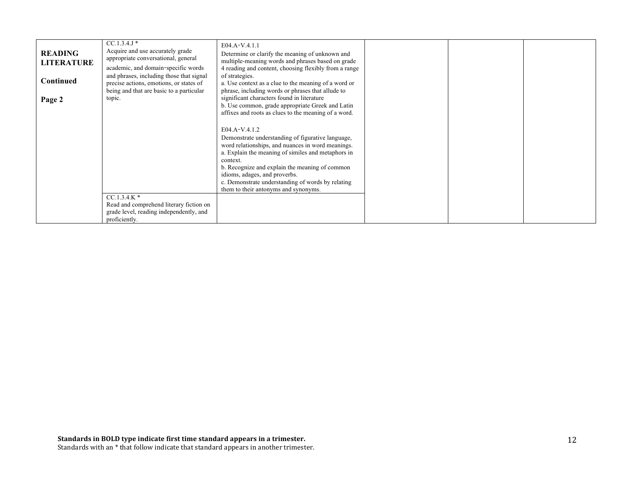| <b>READING</b><br><b>LITERATURE</b><br><b>Continued</b><br>Page 2 | $CC.1.3.4.1*$<br>Acquire and use accurately grade<br>appropriate conversational, general<br>academic, and domain-specific words<br>and phrases, including those that signal<br>precise actions, emotions, or states of<br>being and that are basic to a particular<br>topic. | E04.A-V.4.1.1<br>Determine or clarify the meaning of unknown and<br>multiple-meaning words and phrases based on grade<br>4 reading and content, choosing flexibly from a range<br>of strategies.<br>a. Use context as a clue to the meaning of a word or<br>phrase, including words or phrases that allude to<br>significant characters found in literature<br>b. Use common, grade appropriate Greek and Latin<br>affixes and roots as clues to the meaning of a word. |  |  |
|-------------------------------------------------------------------|------------------------------------------------------------------------------------------------------------------------------------------------------------------------------------------------------------------------------------------------------------------------------|-------------------------------------------------------------------------------------------------------------------------------------------------------------------------------------------------------------------------------------------------------------------------------------------------------------------------------------------------------------------------------------------------------------------------------------------------------------------------|--|--|
|                                                                   |                                                                                                                                                                                                                                                                              | E04.A-V.4.1.2<br>Demonstrate understanding of figurative language,<br>word relationships, and nuances in word meanings.<br>a. Explain the meaning of similes and metaphors in<br>context.<br>b. Recognize and explain the meaning of common<br>idioms, adages, and proverbs.<br>c. Demonstrate understanding of words by relating<br>them to their antonyms and synonyms.                                                                                               |  |  |
|                                                                   | $CC.1.3.4.K*$<br>Read and comprehend literary fiction on<br>grade level, reading independently, and<br>proficiently.                                                                                                                                                         |                                                                                                                                                                                                                                                                                                                                                                                                                                                                         |  |  |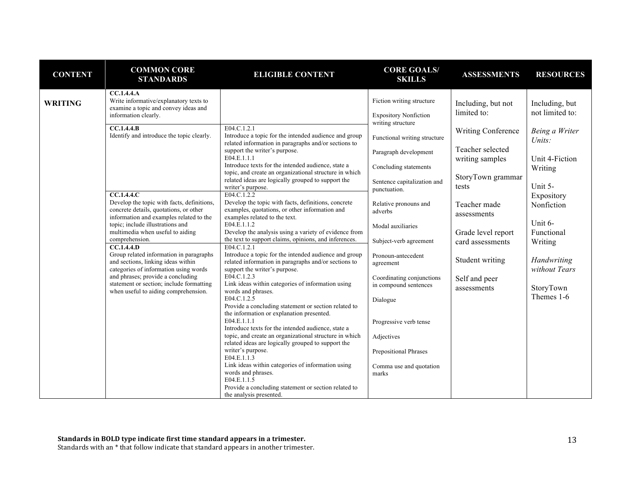| <b>CONTENT</b> | <b>COMMON CORE</b><br><b>STANDARDS</b>                                                                                                                     | <b>ELIGIBLE CONTENT</b>                                                                                                                               | <b>CORE GOALS/</b><br><b>SKILLS</b>                       | <b>ASSESSMENTS</b>                  | <b>RESOURCES</b>                  |
|----------------|------------------------------------------------------------------------------------------------------------------------------------------------------------|-------------------------------------------------------------------------------------------------------------------------------------------------------|-----------------------------------------------------------|-------------------------------------|-----------------------------------|
| <b>WRITING</b> | CC.1.4.4.4<br>Write informative/explanatory texts to<br>examine a topic and convey ideas and<br>information clearly.                                       |                                                                                                                                                       | Fiction writing structure<br><b>Expository Nonfiction</b> | Including, but not<br>limited to:   | Including, but<br>not limited to: |
|                | CC.1.4.4.B<br>Identify and introduce the topic clearly.                                                                                                    | E04.C.1.2.1<br>Introduce a topic for the intended audience and group<br>related information in paragraphs and/or sections to                          | writing structure<br>Functional writing structure         | <b>Writing Conference</b>           | Being a Writer<br>Units:          |
|                |                                                                                                                                                            | support the writer's purpose.<br>E04.E.1.1.1<br>Introduce texts for the intended audience, state a                                                    | Paragraph development<br>Concluding statements            | Teacher selected<br>writing samples | Unit 4-Fiction<br>Writing         |
|                |                                                                                                                                                            | topic, and create an organizational structure in which<br>related ideas are logically grouped to support the<br>writer's purpose.                     | Sentence capitalization and<br>punctuation.               | StoryTown grammar<br>tests          | Unit 5-                           |
|                | $\overline{CC.1.4.4.C}$<br>Develop the topic with facts, definitions,<br>concrete details, quotations, or other<br>information and examples related to the | E04.C.1.2.2<br>Develop the topic with facts, definitions, concrete<br>examples, quotations, or other information and<br>examples related to the text. | Relative pronouns and<br>adverbs                          | Teacher made<br>assessments         | Expository<br>Nonfiction          |
|                | topic; include illustrations and<br>multimedia when useful to aiding<br>comprehension.                                                                     | E04.E.1.1.2<br>Develop the analysis using a variety of evidence from<br>the text to support claims, opinions, and inferences.                         | Modal auxiliaries<br>Subject-verb agreement               | Grade level report                  | Unit 6-<br>Functional             |
|                | CC.1.4.4.<br>Group related information in paragraphs<br>and sections, linking ideas within                                                                 | E04.C.1.2.1<br>Introduce a topic for the intended audience and group<br>related information in paragraphs and/or sections to                          | Pronoun-antecedent<br>agreement                           | card assessments<br>Student writing | Writing<br>Handwriting            |
|                | categories of information using words<br>and phrases; provide a concluding<br>statement or section; include formatting                                     | support the writer's purpose.<br>E04.C.1.2.3<br>Link ideas within categories of information using                                                     | Coordinating conjunctions<br>in compound sentences        | Self and peer                       | without Tears                     |
|                | when useful to aiding comprehension.                                                                                                                       | words and phrases.<br>E04.C.1.2.5<br>Provide a concluding statement or section related to                                                             | Dialogue                                                  | assessments                         | StoryTown<br>Themes 1-6           |
|                |                                                                                                                                                            | the information or explanation presented.<br>E04.E.1.1.1<br>Introduce texts for the intended audience, state a                                        | Progressive verb tense                                    |                                     |                                   |
|                |                                                                                                                                                            | topic, and create an organizational structure in which<br>related ideas are logically grouped to support the<br>writer's purpose.                     | Adjectives<br>Prepositional Phrases                       |                                     |                                   |
|                |                                                                                                                                                            | E04.E.1.1.3<br>Link ideas within categories of information using<br>words and phrases.                                                                | Comma use and quotation                                   |                                     |                                   |
|                |                                                                                                                                                            | E04.E.1.1.5<br>Provide a concluding statement or section related to<br>the analysis presented.                                                        | marks                                                     |                                     |                                   |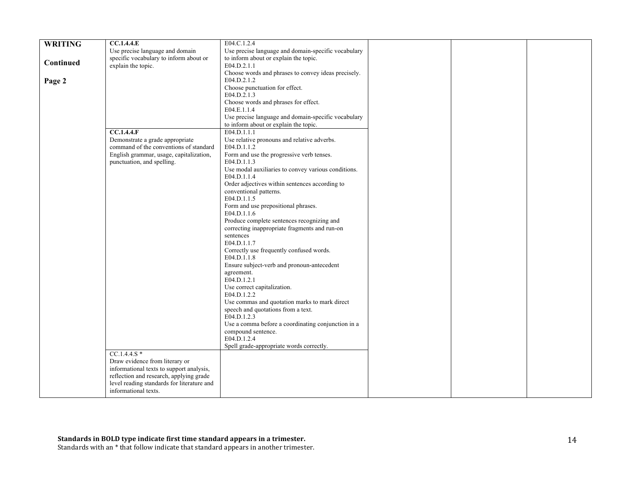|                | CC.1.4.4.E                                 | E04.C.1.2.4                                         |  |  |
|----------------|--------------------------------------------|-----------------------------------------------------|--|--|
| <b>WRITING</b> |                                            |                                                     |  |  |
|                | Use precise language and domain            | Use precise language and domain-specific vocabulary |  |  |
|                | specific vocabulary to inform about or     | to inform about or explain the topic.               |  |  |
| Continued      | explain the topic.                         | E04.D.2.1.1                                         |  |  |
|                |                                            | Choose words and phrases to convey ideas precisely. |  |  |
| Page 2         |                                            | E04.D.2.1.2                                         |  |  |
|                |                                            | Choose punctuation for effect.                      |  |  |
|                |                                            | E04.D.2.1.3                                         |  |  |
|                |                                            | Choose words and phrases for effect.                |  |  |
|                |                                            | E04.E.1.1.4                                         |  |  |
|                |                                            |                                                     |  |  |
|                |                                            | Use precise language and domain-specific vocabulary |  |  |
|                |                                            | to inform about or explain the topic.               |  |  |
|                | CC.1.4.4.F                                 | E04.D.1.1.1                                         |  |  |
|                | Demonstrate a grade appropriate            | Use relative pronouns and relative adverbs.         |  |  |
|                | command of the conventions of standard     | E04.D.1.1.2                                         |  |  |
|                | English grammar, usage, capitalization,    | Form and use the progressive verb tenses.           |  |  |
|                | punctuation, and spelling.                 | E04.D.1.1.3                                         |  |  |
|                |                                            | Use modal auxiliaries to convey various conditions. |  |  |
|                |                                            | E04.D.1.1.4                                         |  |  |
|                |                                            | Order adjectives within sentences according to      |  |  |
|                |                                            | conventional patterns.                              |  |  |
|                |                                            | E04.D.1.1.5                                         |  |  |
|                |                                            | Form and use prepositional phrases.                 |  |  |
|                |                                            | E04.D.1.1.6                                         |  |  |
|                |                                            |                                                     |  |  |
|                |                                            | Produce complete sentences recognizing and          |  |  |
|                |                                            | correcting inappropriate fragments and run-on       |  |  |
|                |                                            | sentences                                           |  |  |
|                |                                            | E04.D.1.1.7                                         |  |  |
|                |                                            | Correctly use frequently confused words.            |  |  |
|                |                                            | E04.D.1.1.8                                         |  |  |
|                |                                            | Ensure subject-verb and pronoun-antecedent          |  |  |
|                |                                            | agreement.                                          |  |  |
|                |                                            | E04.D.1.2.1                                         |  |  |
|                |                                            | Use correct capitalization.                         |  |  |
|                |                                            | E04.D.1.2.2                                         |  |  |
|                |                                            | Use commas and quotation marks to mark direct       |  |  |
|                |                                            | speech and quotations from a text.                  |  |  |
|                |                                            | E04.D.1.2.3                                         |  |  |
|                |                                            | Use a comma before a coordinating conjunction in a  |  |  |
|                |                                            | compound sentence.                                  |  |  |
|                |                                            | E04.D.1.2.4                                         |  |  |
|                |                                            |                                                     |  |  |
|                |                                            | Spell grade-appropriate words correctly.            |  |  |
|                | $CC.1.4.4.S*$                              |                                                     |  |  |
|                | Draw evidence from literary or             |                                                     |  |  |
|                | informational texts to support analysis,   |                                                     |  |  |
|                | reflection and research, applying grade    |                                                     |  |  |
|                | level reading standards for literature and |                                                     |  |  |
|                | informational texts.                       |                                                     |  |  |
|                |                                            |                                                     |  |  |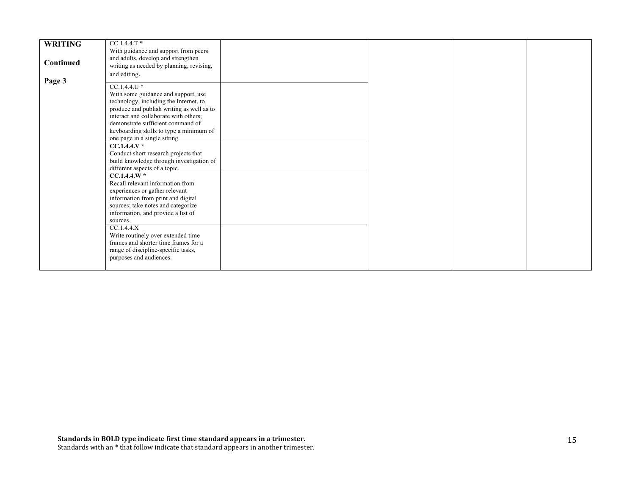|                | $CC.1.4.4.T*$                             |  |  |
|----------------|-------------------------------------------|--|--|
| <b>WRITING</b> |                                           |  |  |
|                | With guidance and support from peers      |  |  |
|                | and adults, develop and strengthen        |  |  |
| Continued      |                                           |  |  |
|                | writing as needed by planning, revising,  |  |  |
|                | and editing.                              |  |  |
| Page 3         |                                           |  |  |
|                | $CC.1.4.4.U*$                             |  |  |
|                |                                           |  |  |
|                | With some guidance and support, use       |  |  |
|                | technology, including the Internet, to    |  |  |
|                | produce and publish writing as well as to |  |  |
|                |                                           |  |  |
|                | interact and collaborate with others;     |  |  |
|                | demonstrate sufficient command of         |  |  |
|                | keyboarding skills to type a minimum of   |  |  |
|                |                                           |  |  |
|                | one page in a single sitting.             |  |  |
|                | $CC.1.4.4.V*$                             |  |  |
|                | Conduct short research projects that      |  |  |
|                | build knowledge through investigation of  |  |  |
|                |                                           |  |  |
|                | different aspects of a topic.             |  |  |
|                | $CC.1.4.4.W*$                             |  |  |
|                | Recall relevant information from          |  |  |
|                | experiences or gather relevant            |  |  |
|                |                                           |  |  |
|                | information from print and digital        |  |  |
|                | sources; take notes and categorize        |  |  |
|                | information, and provide a list of        |  |  |
|                | sources.                                  |  |  |
|                |                                           |  |  |
|                | CC.1.4.4.X                                |  |  |
|                | Write routinely over extended time        |  |  |
|                | frames and shorter time frames for a      |  |  |
|                |                                           |  |  |
|                | range of discipline-specific tasks,       |  |  |
|                | purposes and audiences.                   |  |  |
|                |                                           |  |  |
|                |                                           |  |  |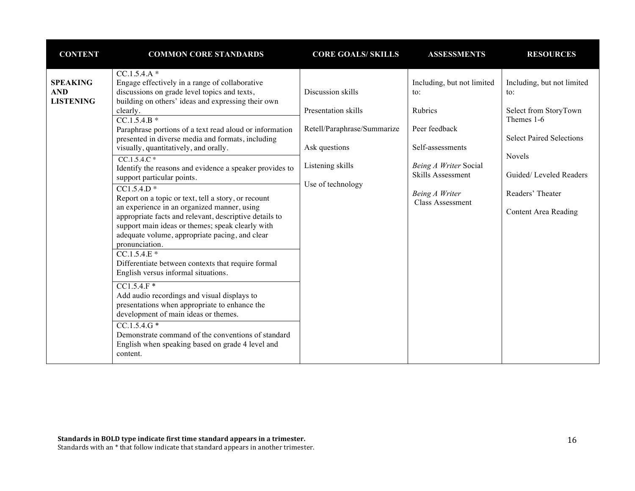| <b>CONTENT</b>                                    | <b>COMMON CORE STANDARDS</b>                                                                                                                                                                                                                                                                                                                                                                                                                                                                                                                                                                                                                                                                                                                                                                                                                                                                                                                                                                                                                                                                                                                                                                          | <b>CORE GOALS/ SKILLS</b>                                                                                                         | <b>ASSESSMENTS</b>                                                                                                                                                    | <b>RESOURCES</b>                                                                                                                                                                            |
|---------------------------------------------------|-------------------------------------------------------------------------------------------------------------------------------------------------------------------------------------------------------------------------------------------------------------------------------------------------------------------------------------------------------------------------------------------------------------------------------------------------------------------------------------------------------------------------------------------------------------------------------------------------------------------------------------------------------------------------------------------------------------------------------------------------------------------------------------------------------------------------------------------------------------------------------------------------------------------------------------------------------------------------------------------------------------------------------------------------------------------------------------------------------------------------------------------------------------------------------------------------------|-----------------------------------------------------------------------------------------------------------------------------------|-----------------------------------------------------------------------------------------------------------------------------------------------------------------------|---------------------------------------------------------------------------------------------------------------------------------------------------------------------------------------------|
| <b>SPEAKING</b><br><b>AND</b><br><b>LISTENING</b> | $CC.1.5.4.A*$<br>Engage effectively in a range of collaborative<br>discussions on grade level topics and texts,<br>building on others' ideas and expressing their own<br>clearly.<br>$CC.1.5.4.B*$<br>Paraphrase portions of a text read aloud or information<br>presented in diverse media and formats, including<br>visually, quantitatively, and orally.<br>$CC.1.5.4.C*$<br>Identify the reasons and evidence a speaker provides to<br>support particular points.<br>$\overline{CC1.5.4.D*}$<br>Report on a topic or text, tell a story, or recount<br>an experience in an organized manner, using<br>appropriate facts and relevant, descriptive details to<br>support main ideas or themes; speak clearly with<br>adequate volume, appropriate pacing, and clear<br>pronunciation.<br>$CC.1.5.4.E*$<br>Differentiate between contexts that require formal<br>English versus informal situations.<br>$CC1.5.4.F*$<br>Add audio recordings and visual displays to<br>presentations when appropriate to enhance the<br>development of main ideas or themes.<br>$CC.1.5.4.G*$<br>Demonstrate command of the conventions of standard<br>English when speaking based on grade 4 level and<br>content. | Discussion skills<br>Presentation skills<br>Retell/Paraphrase/Summarize<br>Ask questions<br>Listening skills<br>Use of technology | Including, but not limited<br>to:<br>Rubrics<br>Peer feedback<br>Self-assessments<br>Being A Writer Social<br>Skills Assessment<br>Being A Writer<br>Class Assessment | Including, but not limited<br>to:<br>Select from StoryTown<br>Themes 1-6<br><b>Select Paired Selections</b><br>Novels<br>Guided/Leveled Readers<br>Readers' Theater<br>Content Area Reading |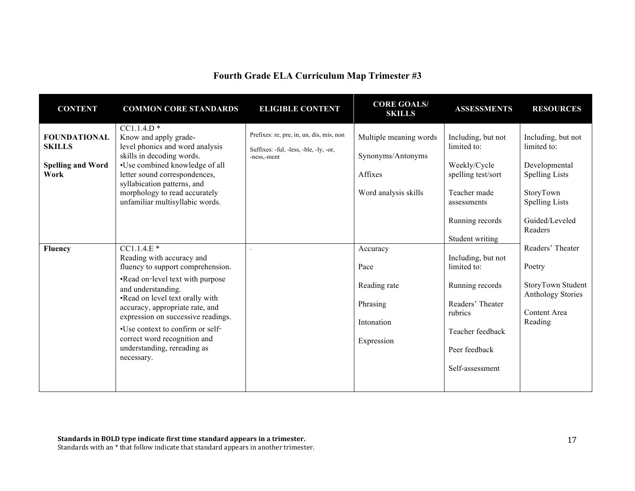# **Fourth Grade ELA Curriculum Map Trimester #3**

| <b>CONTENT</b>                                                           | <b>COMMON CORE STANDARDS</b>                                                                                                                                                                                                                                                                                                                                          | <b>ELIGIBLE CONTENT</b>                                                                           | <b>CORE GOALS/</b><br><b>SKILLS</b>                                            | <b>ASSESSMENTS</b>                                                                                                                           | <b>RESOURCES</b>                                                                                                                               |
|--------------------------------------------------------------------------|-----------------------------------------------------------------------------------------------------------------------------------------------------------------------------------------------------------------------------------------------------------------------------------------------------------------------------------------------------------------------|---------------------------------------------------------------------------------------------------|--------------------------------------------------------------------------------|----------------------------------------------------------------------------------------------------------------------------------------------|------------------------------------------------------------------------------------------------------------------------------------------------|
| <b>FOUNDATIONAL</b><br><b>SKILLS</b><br><b>Spelling and Word</b><br>Work | $CC1.1.4.D$ *<br>Know and apply grade-<br>level phonics and word analysis<br>skills in decoding words.<br>•Use combined knowledge of all<br>letter sound correspondences,<br>syllabication patterns, and<br>morphology to read accurately<br>unfamiliar multisyllabic words.                                                                                          | Prefixes: re, pre, in, un, dis, mis, non<br>Suffixes: -ful, -less, -ble, -ly, -or,<br>-ness,-ment | Multiple meaning words<br>Synonyms/Antonyms<br>Affixes<br>Word analysis skills | Including, but not<br>limited to:<br>Weekly/Cycle<br>spelling test/sort<br>Teacher made<br>assessments<br>Running records<br>Student writing | Including, but not<br>limited to:<br>Developmental<br><b>Spelling Lists</b><br>StoryTown<br><b>Spelling Lists</b><br>Guided/Leveled<br>Readers |
| <b>Fluency</b>                                                           | $CC1.1.4.E*$<br>Reading with accuracy and<br>fluency to support comprehension.<br>•Read on-level text with purpose<br>and understanding.<br>.Read on level text orally with<br>accuracy, appropriate rate, and<br>expression on successive readings.<br>•Use context to confirm or self-<br>correct word recognition and<br>understanding, rereading as<br>necessary. |                                                                                                   | Accuracy<br>Pace<br>Reading rate<br>Phrasing<br>Intonation<br>Expression       | Including, but not<br>limited to:<br>Running records<br>Readers' Theater<br>rubrics<br>Teacher feedback<br>Peer feedback<br>Self-assessment  | Readers' Theater<br>Poetry<br>StoryTown Student<br><b>Anthology Stories</b><br>Content Area<br>Reading                                         |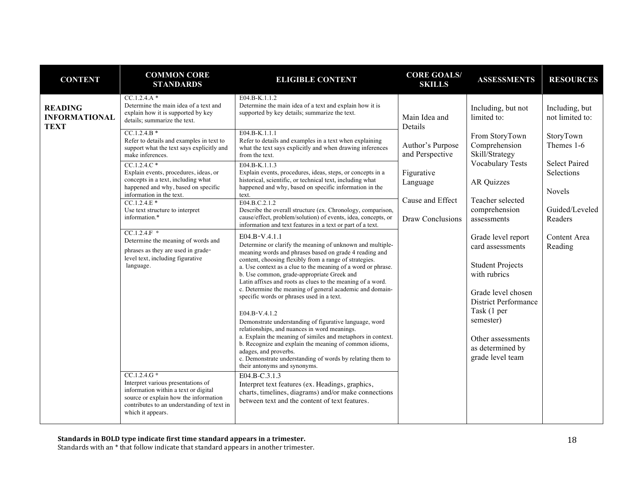| <b>CONTENT</b>                                        | <b>COMMON CORE</b><br><b>STANDARDS</b>                                                                                                                                                                  | <b>ELIGIBLE CONTENT</b>                                                                                                                                                                                                                                        | <b>CORE GOALS/</b><br><b>SKILLS</b>                                                                                                                       | <b>ASSESSMENTS</b>                                                | <b>RESOURCES</b>                  |
|-------------------------------------------------------|---------------------------------------------------------------------------------------------------------------------------------------------------------------------------------------------------------|----------------------------------------------------------------------------------------------------------------------------------------------------------------------------------------------------------------------------------------------------------------|-----------------------------------------------------------------------------------------------------------------------------------------------------------|-------------------------------------------------------------------|-----------------------------------|
| <b>READING</b><br><b>INFORMATIONAL</b><br><b>TEXT</b> | $CC.1.2.4.A*$<br>Determine the main idea of a text and<br>explain how it is supported by key<br>details; summarize the text.                                                                            | E04.B-K.1.1.2<br>Determine the main idea of a text and explain how it is<br>supported by key details; summarize the text.                                                                                                                                      | Including, but not<br>Main Idea and<br>limited to:<br>Details<br>From StoryTown<br>Comprehension<br>Author's Purpose<br>Skill/Strategy<br>and Perspective |                                                                   | Including, but<br>not limited to: |
|                                                       | $CC.1.2.4.B*$<br>Refer to details and examples in text to<br>support what the text says explicitly and<br>make inferences.                                                                              | E04.B-K.1.1.1<br>Refer to details and examples in a text when explaining<br>what the text says explicitly and when drawing inferences<br>from the text.                                                                                                        |                                                                                                                                                           | StoryTown<br>Themes 1-6<br><b>Select Paired</b>                   |                                   |
|                                                       | $CC.1.2.4.C*$<br>Explain events, procedures, ideas, or<br>concepts in a text, including what<br>happened and why, based on specific<br>information in the text.                                         | E04.B-K.1.1.3<br>Explain events, procedures, ideas, steps, or concepts in a<br>historical, scientific, or technical text, including what<br>happened and why, based on specific information in the<br>text.                                                    | Figurative<br>Language                                                                                                                                    | <b>Vocabulary Tests</b><br><b>AR Quizzes</b>                      | Selections<br>Novels              |
|                                                       | $CC.1.2.4.E*$<br>Use text structure to interpret<br>information.*                                                                                                                                       | E04.B.C.2.1.2<br>Describe the overall structure (ex. Chronology, comparison,<br>cause/effect, problem/solution) of events, idea, concepts, or<br>information and text features in a text or part of a text.                                                    | Cause and Effect<br>Draw Conclusions                                                                                                                      | Teacher selected<br>comprehension<br>assessments                  | Guided/Leveled<br>Readers         |
|                                                       | $CC.1.2.4.F$ *<br>Determine the meaning of words and<br>phrases as they are used in grade-<br>level text, including figurative<br>language.                                                             | E04.B-V.4.1.1<br>Determine or clarify the meaning of unknown and multiple-<br>meaning words and phrases based on grade 4 reading and<br>content, choosing flexibly from a range of strategies.<br>a. Use context as a clue to the meaning of a word or phrase. |                                                                                                                                                           | Grade level report<br>card assessments<br><b>Student Projects</b> | Content Area<br>Reading           |
|                                                       |                                                                                                                                                                                                         | b. Use common, grade-appropriate Greek and<br>Latin affixes and roots as clues to the meaning of a word.<br>c. Determine the meaning of general academic and domain-<br>specific words or phrases used in a text.                                              |                                                                                                                                                           | with rubrics<br>Grade level chosen<br><b>District Performance</b> |                                   |
|                                                       |                                                                                                                                                                                                         | E04.B-V.4.1.2<br>Demonstrate understanding of figurative language, word<br>relationships, and nuances in word meanings.<br>a. Explain the meaning of similes and metaphors in context.                                                                         |                                                                                                                                                           | Task (1 per<br>semester)<br>Other assessments                     |                                   |
|                                                       |                                                                                                                                                                                                         | b. Recognize and explain the meaning of common idioms,<br>adages, and proverbs.<br>c. Demonstrate understanding of words by relating them to<br>their antonyms and synonyms.                                                                                   |                                                                                                                                                           | as determined by<br>grade level team                              |                                   |
|                                                       | $CC.1.2.4.G*$<br>Interpret various presentations of<br>information within a text or digital<br>source or explain how the information<br>contributes to an understanding of text in<br>which it appears. | E04.B-C.3.1.3<br>Interpret text features (ex. Headings, graphics,<br>charts, timelines, diagrams) and/or make connections<br>between text and the content of text features.                                                                                    |                                                                                                                                                           |                                                                   |                                   |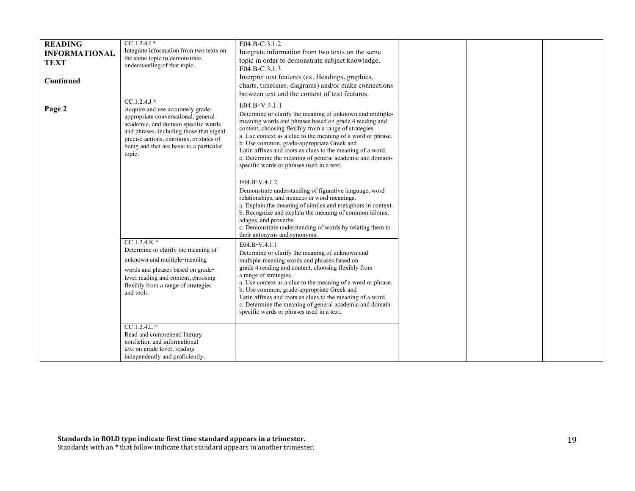| <b>READING</b>       | $CC.1.2.4.1*$                                                              | E04.B-C.3.1.2                                                                                               |  |  |
|----------------------|----------------------------------------------------------------------------|-------------------------------------------------------------------------------------------------------------|--|--|
| <b>INFORMATIONAL</b> | Integrate information from two texts on                                    | Integrate information from two texts on the same                                                            |  |  |
| TEXT                 | the same topic to demonstrate                                              | topic in order to demonstrate subject knowledge.                                                            |  |  |
|                      | understanding of that topic.                                               | E04.B-C.3.1.3                                                                                               |  |  |
|                      |                                                                            | Interpret text features (ex. Headings, graphics,                                                            |  |  |
| Continued            |                                                                            | charts, timelines, diagrams) and/or make connections                                                        |  |  |
|                      |                                                                            | between text and the content of text features.                                                              |  |  |
|                      | $CC.1.2.4J*$                                                               |                                                                                                             |  |  |
| Page 2               | Acquire and use accurately grade-                                          | $E04.B-V.4.1.1$                                                                                             |  |  |
|                      | appropriate conversational, general                                        | Determine or clarify the meaning of unknown and multiple-                                                   |  |  |
|                      | academic, and domain specific words                                        | meaning words and phrases based on grade 4 reading and                                                      |  |  |
|                      | and phrases, including those that signal                                   | content, choosing flexibly from a range of strategies.                                                      |  |  |
|                      | precise actions, emotions, or states of                                    | a. Use context as a clue to the meaning of a word or phrase.                                                |  |  |
|                      | being and that are basic to a particular                                   | b. Use common, grade-appropriate Greek and                                                                  |  |  |
|                      | topic.                                                                     | Latin affixes and roots as clues to the meaning of a word.                                                  |  |  |
|                      |                                                                            | c. Determine the meaning of general academic and domain-<br>specific words or phrases used in a text.       |  |  |
|                      |                                                                            |                                                                                                             |  |  |
|                      |                                                                            |                                                                                                             |  |  |
|                      |                                                                            | E04.B-V.4.1.2                                                                                               |  |  |
|                      |                                                                            | Demonstrate understanding of figurative language, word                                                      |  |  |
|                      |                                                                            | relationships, and nuances in word meanings.<br>a. Explain the meaning of similes and metaphors in context. |  |  |
|                      |                                                                            | b. Recognize and explain the meaning of common idioms,                                                      |  |  |
|                      |                                                                            | adages, and proverbs.                                                                                       |  |  |
|                      |                                                                            | c. Demonstrate understanding of words by relating them to                                                   |  |  |
|                      |                                                                            | their antonyms and synonyms.                                                                                |  |  |
|                      | $CC.1.2.4.K*$                                                              | E04.B-V.4.1.1                                                                                               |  |  |
|                      | Determine or clarify the meaning of                                        | Determine or clarify the meaning of unknown and                                                             |  |  |
|                      | unknown and multiple-meaning                                               | multiple-meaning words and phrases based on                                                                 |  |  |
|                      |                                                                            | grade 4 reading and content, choosing flexibly from                                                         |  |  |
|                      | words and phrases based on grade-                                          | a range of strategies.                                                                                      |  |  |
|                      | level reading and content, choosing<br>flexibly from a range of strategies | a. Use context as a clue to the meaning of a word or phrase.                                                |  |  |
|                      | and tools.                                                                 | b. Use common, grade-appropriate Greek and                                                                  |  |  |
|                      |                                                                            | Latin affixes and roots as clues to the meaning of a word.                                                  |  |  |
|                      |                                                                            | c. Determine the meaning of general academic and domain-                                                    |  |  |
|                      |                                                                            | specific words or phrases used in a text.                                                                   |  |  |
|                      |                                                                            |                                                                                                             |  |  |
|                      | $CC.1.2.4.L*$                                                              |                                                                                                             |  |  |
|                      | Read and comprehend literary                                               |                                                                                                             |  |  |
|                      | nonfiction and informational                                               |                                                                                                             |  |  |
|                      | text on grade level, reading                                               |                                                                                                             |  |  |
|                      | independently and proficiently.                                            |                                                                                                             |  |  |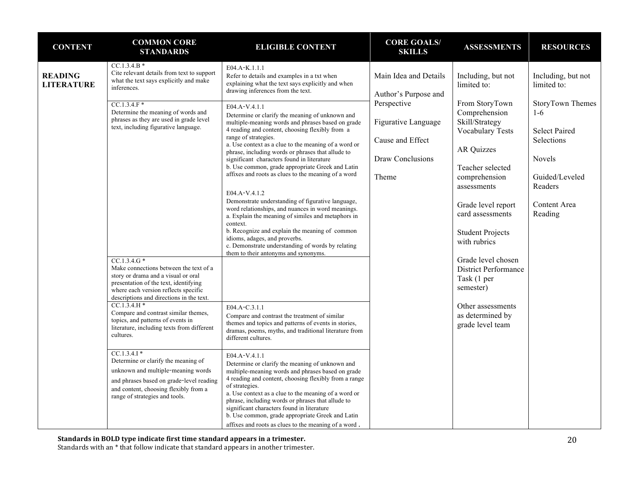| <b>CONTENT</b>                      | <b>COMMON CORE</b><br><b>STANDARDS</b>                                                                                                                                                                                                                                                                                                                                                                                                                                                                  | <b>ELIGIBLE CONTENT</b>                                                                                                                                                                                                                                                                                                                                                                                                                                                                                                                                                                                                                                                                                                                                                                                                                             | <b>CORE GOALS/</b><br><b>SKILLS</b>                                                 | <b>ASSESSMENTS</b>                                                                                                                                                                                                                                                                                             | <b>RESOURCES</b>                                                                                                                  |
|-------------------------------------|---------------------------------------------------------------------------------------------------------------------------------------------------------------------------------------------------------------------------------------------------------------------------------------------------------------------------------------------------------------------------------------------------------------------------------------------------------------------------------------------------------|-----------------------------------------------------------------------------------------------------------------------------------------------------------------------------------------------------------------------------------------------------------------------------------------------------------------------------------------------------------------------------------------------------------------------------------------------------------------------------------------------------------------------------------------------------------------------------------------------------------------------------------------------------------------------------------------------------------------------------------------------------------------------------------------------------------------------------------------------------|-------------------------------------------------------------------------------------|----------------------------------------------------------------------------------------------------------------------------------------------------------------------------------------------------------------------------------------------------------------------------------------------------------------|-----------------------------------------------------------------------------------------------------------------------------------|
| <b>READING</b><br><b>LITERATURE</b> | $CC.1.3.4.B*$<br>Cite relevant details from text to support<br>what the text says explicitly and make<br>inferences.                                                                                                                                                                                                                                                                                                                                                                                    | E04.A-K.1.1.1<br>Refer to details and examples in a txt when<br>explaining what the text says explicitly and when<br>drawing inferences from the text.                                                                                                                                                                                                                                                                                                                                                                                                                                                                                                                                                                                                                                                                                              | Main Idea and Details<br>Author's Purpose and                                       | Including, but not<br>limited to:                                                                                                                                                                                                                                                                              | Including, but not<br>limited to:                                                                                                 |
|                                     | $CC.1.3.4.F*$<br>Determine the meaning of words and<br>phrases as they are used in grade level<br>text, including figurative language.<br>$CC.1.3.4.G*$<br>Make connections between the text of a<br>story or drama and a visual or oral                                                                                                                                                                                                                                                                | E04.A-V.4.1.1<br>Determine or clarify the meaning of unknown and<br>multiple-meaning words and phrases based on grade<br>4 reading and content, choosing flexibly from a<br>range of strategies.<br>a. Use context as a clue to the meaning of a word or<br>phrase, including words or phrases that allude to<br>significant characters found in literature<br>b. Use common, grade appropriate Greek and Latin<br>affixes and roots as clues to the meaning of a word<br>E04.A-V.4.1.2<br>Demonstrate understanding of figurative language,<br>word relationships, and nuances in word meanings.<br>a. Explain the meaning of similes and metaphors in<br>context.<br>b. Recognize and explain the meaning of common<br>idioms, adages, and proverbs.<br>c. Demonstrate understanding of words by relating<br>them to their antonyms and synonyms. | Perspective<br>Figurative Language<br>Cause and Effect<br>Draw Conclusions<br>Theme | From StoryTown<br>Comprehension<br>Skill/Strategy<br><b>Vocabulary Tests</b><br><b>AR Quizzes</b><br>Teacher selected<br>comprehension<br>assessments<br>Grade level report<br>card assessments<br><b>Student Projects</b><br>with rubrics<br>Grade level chosen<br><b>District Performance</b><br>Task (1 per | StoryTown Themes<br>$1-6$<br><b>Select Paired</b><br>Selections<br>Novels<br>Guided/Leveled<br>Readers<br>Content Area<br>Reading |
|                                     | presentation of the text, identifying<br>where each version reflects specific<br>descriptions and directions in the text.<br>$CC.1.3.4.H*$<br>Compare and contrast similar themes,<br>topics, and patterns of events in<br>literature, including texts from different<br>cultures.<br>$CC.1.3.4.1*$<br>Determine or clarify the meaning of<br>unknown and multiple-meaning words<br>and phrases based on grade-level reading<br>and content, choosing flexibly from a<br>range of strategies and tools. | E04.A-C.3.1.1<br>Compare and contrast the treatment of similar<br>themes and topics and patterns of events in stories,<br>dramas, poems, myths, and traditional literature from<br>different cultures.<br>E04.A-V.4.1.1<br>Determine or clarify the meaning of unknown and<br>multiple-meaning words and phrases based on grade<br>4 reading and content, choosing flexibly from a range<br>of strategies.<br>a. Use context as a clue to the meaning of a word or<br>phrase, including words or phrases that allude to<br>significant characters found in literature<br>b. Use common, grade appropriate Greek and Latin<br>affixes and roots as clues to the meaning of a word.                                                                                                                                                                   |                                                                                     | semester)<br>Other assessments<br>as determined by<br>grade level team                                                                                                                                                                                                                                         |                                                                                                                                   |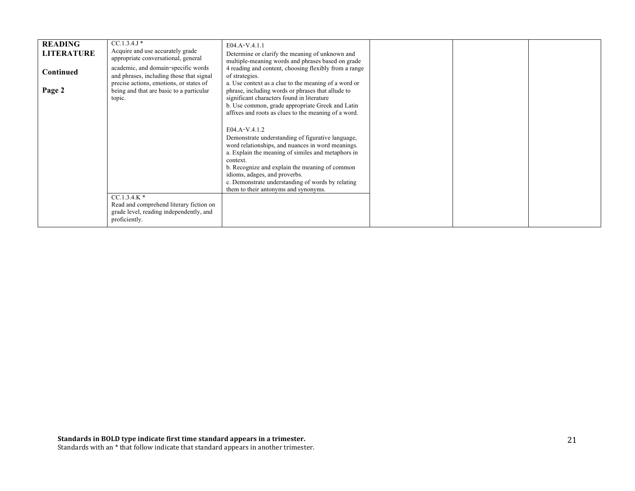| <b>READING</b><br><b>LITERATURE</b><br><b>Continued</b><br>Page 2 | $CC.1.3.4.$ J *<br>Acquire and use accurately grade<br>appropriate conversational, general<br>academic, and domain-specific words<br>and phrases, including those that signal<br>precise actions, emotions, or states of<br>being and that are basic to a particular<br>topic. | E04.A-V.4.1.1<br>Determine or clarify the meaning of unknown and<br>multiple-meaning words and phrases based on grade<br>4 reading and content, choosing flexibly from a range<br>of strategies.<br>a. Use context as a clue to the meaning of a word or<br>phrase, including words or phrases that allude to<br>significant characters found in literature<br>b. Use common, grade appropriate Greek and Latin<br>affixes and roots as clues to the meaning of a word. |  |  |
|-------------------------------------------------------------------|--------------------------------------------------------------------------------------------------------------------------------------------------------------------------------------------------------------------------------------------------------------------------------|-------------------------------------------------------------------------------------------------------------------------------------------------------------------------------------------------------------------------------------------------------------------------------------------------------------------------------------------------------------------------------------------------------------------------------------------------------------------------|--|--|
|                                                                   | $CC.1.3.4.K*$<br>Read and comprehend literary fiction on<br>grade level, reading independently, and<br>proficiently.                                                                                                                                                           | $E04.A-V.4.1.2$<br>Demonstrate understanding of figurative language,<br>word relationships, and nuances in word meanings.<br>a. Explain the meaning of similes and metaphors in<br>context.<br>b. Recognize and explain the meaning of common<br>idioms, adages, and proverbs.<br>c. Demonstrate understanding of words by relating<br>them to their antonyms and synonyms.                                                                                             |  |  |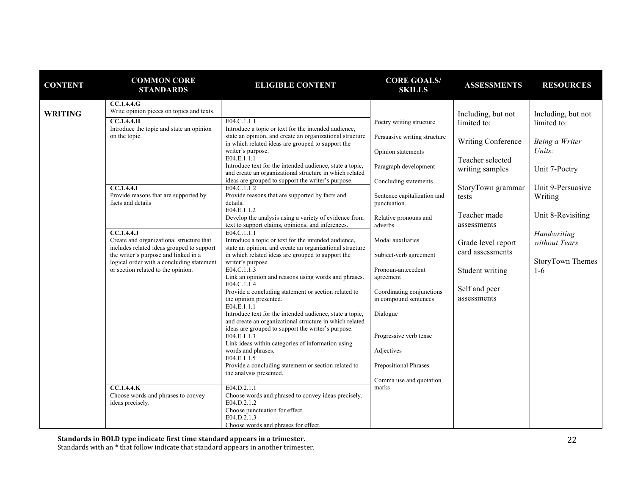| <b>CONTENT</b> | <b>COMMON CORE</b><br><b>STANDARDS</b>                                                                                         | <b>ELIGIBLE CONTENT</b>                                                                                                                                                   | <b>CORE GOALS/</b><br><b>SKILLS</b>                | <b>ASSESSMENTS</b>           | <b>RESOURCES</b>             |
|----------------|--------------------------------------------------------------------------------------------------------------------------------|---------------------------------------------------------------------------------------------------------------------------------------------------------------------------|----------------------------------------------------|------------------------------|------------------------------|
| <b>WRITING</b> | CC.1.4.4.G<br>Write opinion pieces on topics and texts.                                                                        |                                                                                                                                                                           |                                                    | Including, but not           | Including, but not           |
|                | CC.1.4.4.H<br>Introduce the topic and state an opinion                                                                         | E04.C.1.1.1<br>Introduce a topic or text for the intended audience,                                                                                                       | Poetry writing structure                           | limited to:                  | limited to:                  |
|                | on the topic.                                                                                                                  | state an opinion, and create an organizational structure<br>in which related ideas are grouped to support the                                                             | Persuasive writing structure                       | Writing Conference           | Being a Writer               |
|                |                                                                                                                                | writer's purpose.<br>E04.E.1.1.1                                                                                                                                          | Opinion statements                                 | Teacher selected             | Units:                       |
|                |                                                                                                                                | Introduce text for the intended audience, state a topic,<br>and create an organizational structure in which related                                                       | Paragraph development                              | writing samples              | Unit 7-Poetry                |
|                | <b>CC.1.4.4.1</b>                                                                                                              | ideas are grouped to support the writer's purpose.<br>E04.C.1.1.2                                                                                                         | Concluding statements                              | StoryTown grammar            | Unit 9-Persuasive            |
|                | Provide reasons that are supported by<br>facts and details                                                                     | Provide reasons that are supported by facts and<br>details.                                                                                                               | Sentence capitalization and<br>punctuation.        | tests                        | Writing                      |
|                |                                                                                                                                | E04.E.1.1.2<br>Develop the analysis using a variety of evidence from<br>text to support claims, opinions, and inferences.                                                 | Relative pronouns and<br>adverbs                   | Teacher made<br>assessments  | Unit 8-Revisiting            |
|                | $\overline{CC.1.4.4J}$<br>Create and organizational structure that                                                             | E04.C.1.1.1<br>Introduce a topic or text for the intended audience,                                                                                                       | Modal auxiliaries                                  | Grade level report           | Handwriting<br>without Tears |
|                | includes related ideas grouped to support<br>the writer's purpose and linked in a<br>logical order with a concluding statement | state an opinion, and create an organizational structure<br>in which related ideas are grouped to support the<br>writer's purpose.                                        | Subject-verb agreement                             | card assessments             | StoryTown Themes             |
|                | or section related to the opinion.                                                                                             | E04.C.1.1.3<br>Link an opinion and reasons using words and phrases.<br>E04.C.1.1.4                                                                                        | Pronoun-antecedent<br>agreement                    | Student writing              | $1-6$                        |
|                |                                                                                                                                | Provide a concluding statement or section related to<br>the opinion presented.<br>E04.E.1.1.1                                                                             | Coordinating conjunctions<br>in compound sentences | Self and peer<br>assessments |                              |
|                |                                                                                                                                | Introduce text for the intended audience, state a topic,<br>and create an organizational structure in which related<br>ideas are grouped to support the writer's purpose. | Dialogue                                           |                              |                              |
|                |                                                                                                                                | E04.E.1.1.3<br>Link ideas within categories of information using                                                                                                          | Progressive verb tense                             |                              |                              |
|                |                                                                                                                                | words and phrases.<br>E04.E.1.1.5                                                                                                                                         | Adjectives                                         |                              |                              |
|                |                                                                                                                                | Provide a concluding statement or section related to<br>the analysis presented.                                                                                           | Prepositional Phrases                              |                              |                              |
|                | CC.1.4.4.K                                                                                                                     | E04.D.2.1.1                                                                                                                                                               | Comma use and quotation<br>marks                   |                              |                              |
|                | Choose words and phrases to convey<br>ideas precisely.                                                                         | Choose words and phrased to convey ideas precisely.<br>E04.D.2.1.2                                                                                                        |                                                    |                              |                              |
|                |                                                                                                                                | Choose punctuation for effect.<br>E04.D.2.1.3<br>Choose words and phrases for effect.                                                                                     |                                                    |                              |                              |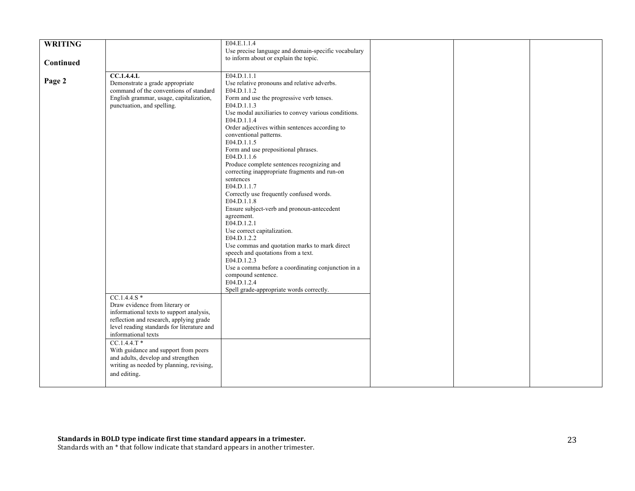|                |                                            | E04.E.1.1.4                                         |  |  |
|----------------|--------------------------------------------|-----------------------------------------------------|--|--|
| <b>WRITING</b> |                                            |                                                     |  |  |
|                |                                            | Use precise language and domain-specific vocabulary |  |  |
| Continued      |                                            | to inform about or explain the topic.               |  |  |
|                |                                            |                                                     |  |  |
|                | <b>CC.1.4.4.L</b>                          | E04.D.1.1.1                                         |  |  |
| Page 2         | Demonstrate a grade appropriate            | Use relative pronouns and relative adverbs.         |  |  |
|                | command of the conventions of standard     | E04.D.1.1.2                                         |  |  |
|                | English grammar, usage, capitalization,    | Form and use the progressive verb tenses.           |  |  |
|                |                                            | E04.D.1.1.3                                         |  |  |
|                | punctuation, and spelling.                 |                                                     |  |  |
|                |                                            | Use modal auxiliaries to convey various conditions. |  |  |
|                |                                            | E04.D.1.1.4                                         |  |  |
|                |                                            | Order adjectives within sentences according to      |  |  |
|                |                                            | conventional patterns.                              |  |  |
|                |                                            | E04.D.1.1.5                                         |  |  |
|                |                                            | Form and use prepositional phrases.                 |  |  |
|                |                                            | E04.D.1.1.6                                         |  |  |
|                |                                            | Produce complete sentences recognizing and          |  |  |
|                |                                            | correcting inappropriate fragments and run-on       |  |  |
|                |                                            | sentences                                           |  |  |
|                |                                            | E04.D.1.1.7                                         |  |  |
|                |                                            | Correctly use frequently confused words.            |  |  |
|                |                                            | E04.D.1.1.8                                         |  |  |
|                |                                            |                                                     |  |  |
|                |                                            | Ensure subject-verb and pronoun-antecedent          |  |  |
|                |                                            | agreement.                                          |  |  |
|                |                                            | E04.D.1.2.1                                         |  |  |
|                |                                            | Use correct capitalization.                         |  |  |
|                |                                            | E04.D.1.2.2                                         |  |  |
|                |                                            | Use commas and quotation marks to mark direct       |  |  |
|                |                                            | speech and quotations from a text.                  |  |  |
|                |                                            | E04.D.1.2.3                                         |  |  |
|                |                                            | Use a comma before a coordinating conjunction in a  |  |  |
|                |                                            | compound sentence.                                  |  |  |
|                |                                            | E04.D.1.2.4                                         |  |  |
|                |                                            | Spell grade-appropriate words correctly.            |  |  |
|                | $CC.1.4.4.S*$                              |                                                     |  |  |
|                | Draw evidence from literary or             |                                                     |  |  |
|                | informational texts to support analysis,   |                                                     |  |  |
|                | reflection and research, applying grade    |                                                     |  |  |
|                | level reading standards for literature and |                                                     |  |  |
|                | informational texts                        |                                                     |  |  |
|                | $CC.1.4.4.T*$                              |                                                     |  |  |
|                |                                            |                                                     |  |  |
|                | With guidance and support from peers       |                                                     |  |  |
|                | and adults, develop and strengthen         |                                                     |  |  |
|                | writing as needed by planning, revising,   |                                                     |  |  |
|                | and editing.                               |                                                     |  |  |
|                |                                            |                                                     |  |  |
|                |                                            |                                                     |  |  |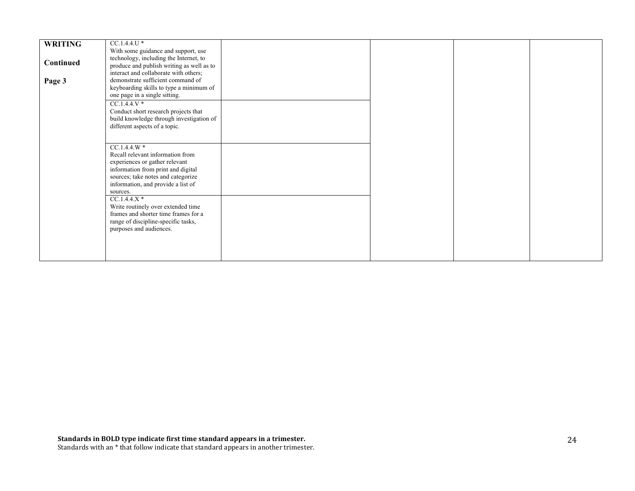|                | $CC.1.4.4.U*$                             |  |  |
|----------------|-------------------------------------------|--|--|
| <b>WRITING</b> |                                           |  |  |
|                | With some guidance and support, use       |  |  |
| Continued      | technology, including the Internet, to    |  |  |
|                | produce and publish writing as well as to |  |  |
|                | interact and collaborate with others;     |  |  |
| Page 3         | demonstrate sufficient command of         |  |  |
|                | keyboarding skills to type a minimum of   |  |  |
|                | one page in a single sitting.             |  |  |
|                | $CC.1.4.4.V*$                             |  |  |
|                |                                           |  |  |
|                | Conduct short research projects that      |  |  |
|                | build knowledge through investigation of  |  |  |
|                | different aspects of a topic.             |  |  |
|                |                                           |  |  |
|                |                                           |  |  |
|                | $CC.1.4.4.W*$                             |  |  |
|                | Recall relevant information from          |  |  |
|                | experiences or gather relevant            |  |  |
|                | information from print and digital        |  |  |
|                | sources; take notes and categorize        |  |  |
|                | information, and provide a list of        |  |  |
|                | sources.                                  |  |  |
|                | $CC.1.4.4.X*$                             |  |  |
|                |                                           |  |  |
|                | Write routinely over extended time        |  |  |
|                | frames and shorter time frames for a      |  |  |
|                | range of discipline-specific tasks,       |  |  |
|                | purposes and audiences.                   |  |  |
|                |                                           |  |  |
|                |                                           |  |  |
|                |                                           |  |  |
|                |                                           |  |  |
|                |                                           |  |  |